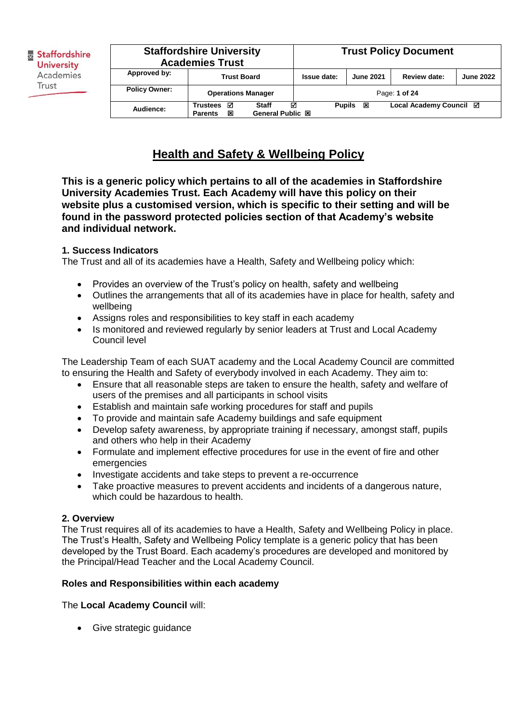| <b>Staffordshire University</b><br><b>Academies Trust</b> |                                             | <b>Trust Policy Document</b>                 |               |                  |                         |                  |
|-----------------------------------------------------------|---------------------------------------------|----------------------------------------------|---------------|------------------|-------------------------|------------------|
| Approved by:                                              | <b>Trust Board</b>                          |                                              | Issue date:   | <b>June 2021</b> | Review date:            | <b>June 2022</b> |
| <b>Policy Owner:</b>                                      | <b>Operations Manager</b>                   |                                              |               |                  | Page: 1 of 24           |                  |
| Audience:                                                 | ☑<br><b>Trustees</b><br>図<br><b>Parents</b> | ☑<br><b>Staff</b><br><b>General Public 図</b> | <b>Pupils</b> | 図                | Local Academy Council ⊠ |                  |

## **Health and Safety & Wellbeing Policy**

**This is a generic policy which pertains to all of the academies in Staffordshire University Academies Trust. Each Academy will have this policy on their website plus a customised version, which is specific to their setting and will be found in the password protected policies section of that Academy's website and individual network.**

## **1. Success Indicators**

The Trust and all of its academies have a Health, Safety and Wellbeing policy which:

- Provides an overview of the Trust's policy on health, safety and wellbeing
- Outlines the arrangements that all of its academies have in place for health, safety and wellbeing
- Assigns roles and responsibilities to key staff in each academy
- Is monitored and reviewed regularly by senior leaders at Trust and Local Academy Council level

The Leadership Team of each SUAT academy and the Local Academy Council are committed to ensuring the Health and Safety of everybody involved in each Academy. They aim to:

- Ensure that all reasonable steps are taken to ensure the health, safety and welfare of users of the premises and all participants in school visits
- Establish and maintain safe working procedures for staff and pupils
- To provide and maintain safe Academy buildings and safe equipment
- Develop safety awareness, by appropriate training if necessary, amongst staff, pupils and others who help in their Academy
- Formulate and implement effective procedures for use in the event of fire and other emergencies
- Investigate accidents and take steps to prevent a re-occurrence
- Take proactive measures to prevent accidents and incidents of a dangerous nature, which could be hazardous to health.

## **2. Overview**

The Trust requires all of its academies to have a Health, Safety and Wellbeing Policy in place. The Trust's Health, Safety and Wellbeing Policy template is a generic policy that has been developed by the Trust Board. Each academy's procedures are developed and monitored by the Principal/Head Teacher and the Local Academy Council.

## **Roles and Responsibilities within each academy**

The **Local Academy Council** will:

• Give strategic guidance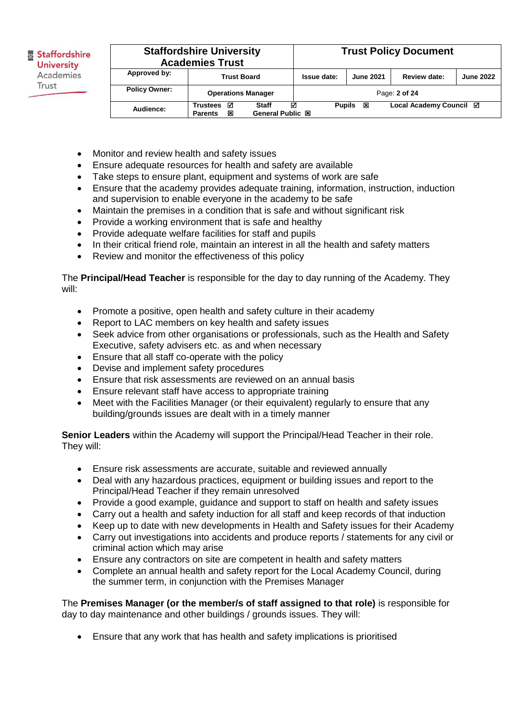|                      | <b>Staffordshire University</b><br><b>Academies Trust</b> |                                         |                    |                  | <b>Trust Policy Document</b> |                  |
|----------------------|-----------------------------------------------------------|-----------------------------------------|--------------------|------------------|------------------------------|------------------|
| Approved by:         | <b>Trust Board</b>                                        |                                         | Issue date:        | <b>June 2021</b> | Review date:                 | <b>June 2022</b> |
| <b>Policy Owner:</b> | <b>Operations Manager</b>                                 |                                         |                    |                  | Page: 2 of 24                |                  |
| Audience:            | ☑<br><b>Trustees</b><br>図<br><b>Parents</b>               | <b>Staff</b><br><b>General Public 図</b> | ☑<br><b>Pupils</b> | 図                | Local Academy Council ⊠      |                  |

- Monitor and review health and safety issues
- Ensure adequate resources for health and safety are available
- Take steps to ensure plant, equipment and systems of work are safe
- Ensure that the academy provides adequate training, information, instruction, induction and supervision to enable everyone in the academy to be safe
- Maintain the premises in a condition that is safe and without significant risk
- Provide a working environment that is safe and healthy
- Provide adequate welfare facilities for staff and pupils
- In their critical friend role, maintain an interest in all the health and safety matters
- Review and monitor the effectiveness of this policy

The **Principal/Head Teacher** is responsible for the day to day running of the Academy. They will:

- Promote a positive, open health and safety culture in their academy
- Report to LAC members on key health and safety issues
- Seek advice from other organisations or professionals, such as the Health and Safety Executive, safety advisers etc. as and when necessary
- Ensure that all staff co-operate with the policy
- Devise and implement safety procedures
- Ensure that risk assessments are reviewed on an annual basis
- Ensure relevant staff have access to appropriate training
- Meet with the Facilities Manager (or their equivalent) regularly to ensure that any building/grounds issues are dealt with in a timely manner

**Senior Leaders** within the Academy will support the Principal/Head Teacher in their role. They will:

- Ensure risk assessments are accurate, suitable and reviewed annually
- Deal with any hazardous practices, equipment or building issues and report to the Principal/Head Teacher if they remain unresolved
- Provide a good example, guidance and support to staff on health and safety issues
- Carry out a health and safety induction for all staff and keep records of that induction
- Keep up to date with new developments in Health and Safety issues for their Academy
- Carry out investigations into accidents and produce reports / statements for any civil or criminal action which may arise
- Ensure any contractors on site are competent in health and safety matters
- Complete an annual health and safety report for the Local Academy Council, during the summer term, in conjunction with the Premises Manager

The **Premises Manager (or the member/s of staff assigned to that role)** is responsible for day to day maintenance and other buildings / grounds issues. They will:

Ensure that any work that has health and safety implications is prioritised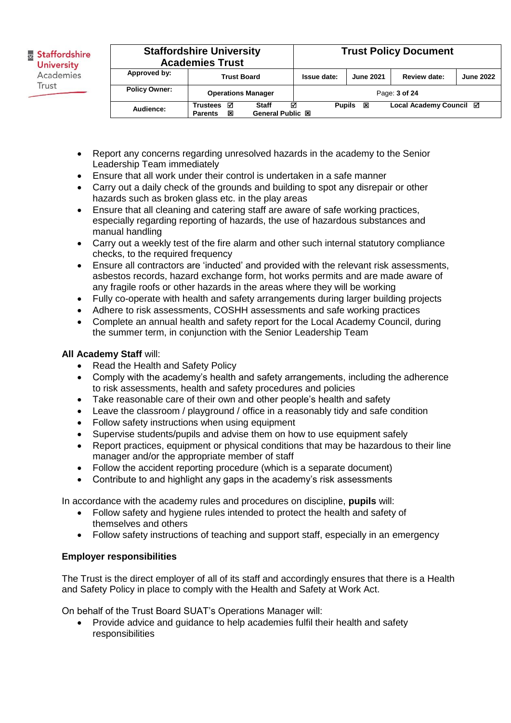|                      | <b>Staffordshire University</b><br><b>Academies Trust</b>                       |                    |                  | <b>Trust Policy Document</b> |                  |
|----------------------|---------------------------------------------------------------------------------|--------------------|------------------|------------------------------|------------------|
| Approved by:         | <b>Trust Board</b>                                                              | Issue date:        | <b>June 2021</b> | Review date:                 | <b>June 2022</b> |
| <b>Policy Owner:</b> | <b>Operations Manager</b>                                                       |                    |                  | Page: 3 of 24                |                  |
| Audience:            | <b>Trustees</b><br>☑<br><b>Staff</b><br>General Public 図<br>冈<br><b>Parents</b> | ⊓<br><b>Pupils</b> | 図                | Local Academy Council ⊠      |                  |

- Report any concerns regarding unresolved hazards in the academy to the Senior Leadership Team immediately
- Ensure that all work under their control is undertaken in a safe manner
- Carry out a daily check of the grounds and building to spot any disrepair or other hazards such as broken glass etc. in the play areas
- Ensure that all cleaning and catering staff are aware of safe working practices, especially regarding reporting of hazards, the use of hazardous substances and manual handling
- Carry out a weekly test of the fire alarm and other such internal statutory compliance checks, to the required frequency
- Ensure all contractors are 'inducted' and provided with the relevant risk assessments, asbestos records, hazard exchange form, hot works permits and are made aware of any fragile roofs or other hazards in the areas where they will be working
- Fully co-operate with health and safety arrangements during larger building projects
- Adhere to risk assessments, COSHH assessments and safe working practices
- Complete an annual health and safety report for the Local Academy Council, during the summer term, in conjunction with the Senior Leadership Team

## **All Academy Staff** will:

- Read the Health and Safety Policy
- Comply with the academy's health and safety arrangements, including the adherence to risk assessments, health and safety procedures and policies
- Take reasonable care of their own and other people's health and safety
- Leave the classroom / playground / office in a reasonably tidy and safe condition
- Follow safety instructions when using equipment
- Supervise students/pupils and advise them on how to use equipment safely
- Report practices, equipment or physical conditions that may be hazardous to their line manager and/or the appropriate member of staff
- Follow the accident reporting procedure (which is a separate document)
- Contribute to and highlight any gaps in the academy's risk assessments

In accordance with the academy rules and procedures on discipline, **pupils** will:

- Follow safety and hygiene rules intended to protect the health and safety of themselves and others
- Follow safety instructions of teaching and support staff, especially in an emergency

## **Employer responsibilities**

The Trust is the direct employer of all of its staff and accordingly ensures that there is a Health and Safety Policy in place to comply with the Health and Safety at Work Act.

On behalf of the Trust Board SUAT's Operations Manager will:

 Provide advice and guidance to help academies fulfil their health and safety responsibilities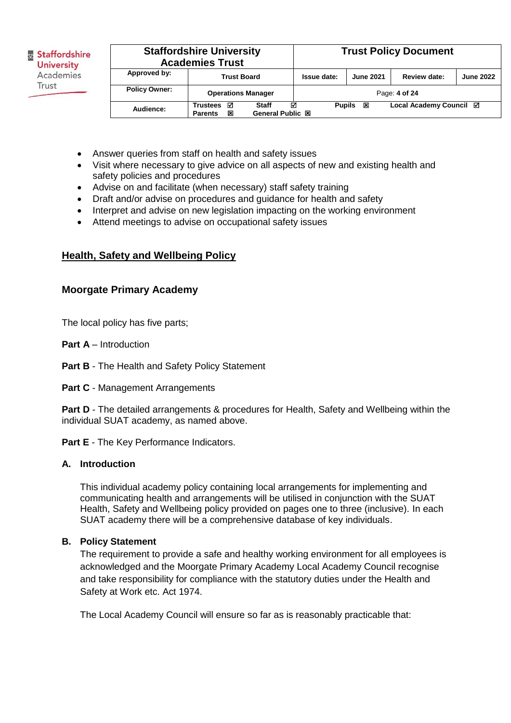| Staffordshire     |
|-------------------|
| <b>University</b> |
| Academies         |
| Trust             |
|                   |

|                      | <b>Staffordshire University</b><br><b>Academies Trust</b>                       |                    |                  | <b>Trust Policy Document</b> |                  |
|----------------------|---------------------------------------------------------------------------------|--------------------|------------------|------------------------------|------------------|
| Approved by:         | <b>Trust Board</b>                                                              | Issue date:        | <b>June 2021</b> | Review date:                 | <b>June 2022</b> |
| <b>Policy Owner:</b> | <b>Operations Manager</b>                                                       |                    |                  | Page: 4 of 24                |                  |
| Audience:            | ☑<br><b>Staff</b><br><b>Trustees</b><br>General Public 図<br>冈<br><b>Parents</b> | 罓<br><b>Pupils</b> | 図                | Local Academy Council ⊠      |                  |

- Answer queries from staff on health and safety issues
- Visit where necessary to give advice on all aspects of new and existing health and safety policies and procedures
- Advise on and facilitate (when necessary) staff safety training
- Draft and/or advise on procedures and guidance for health and safety
- Interpret and advise on new legislation impacting on the working environment
- Attend meetings to advise on occupational safety issues

## **Health, Safety and Wellbeing Policy**

## **Moorgate Primary Academy**

The local policy has five parts;

- **Part A** Introduction
- **Part B**  The Health and Safety Policy Statement
- **Part C** Management Arrangements

**Part D** - The detailed arrangements & procedures for Health, Safety and Wellbeing within the individual SUAT academy, as named above.

Part E - The Key Performance Indicators.

## **A. Introduction**

This individual academy policy containing local arrangements for implementing and communicating health and arrangements will be utilised in conjunction with the SUAT Health, Safety and Wellbeing policy provided on pages one to three (inclusive). In each SUAT academy there will be a comprehensive database of key individuals.

## **B. Policy Statement**

The requirement to provide a safe and healthy working environment for all employees is acknowledged and the Moorgate Primary Academy Local Academy Council recognise and take responsibility for compliance with the statutory duties under the Health and Safety at Work etc. Act 1974.

The Local Academy Council will ensure so far as is reasonably practicable that: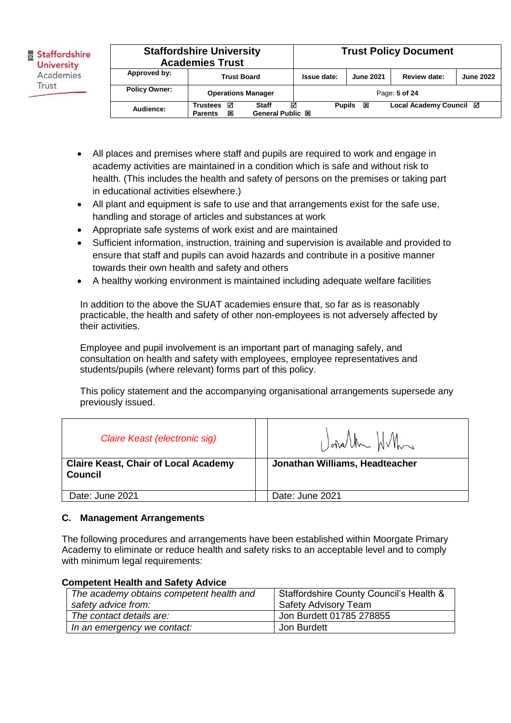| <b>&amp; Staffordshire</b><br><b>University</b> |                      | <b>Staffordshire University</b><br><b>Academies Trust</b> |                           |             | <b>Trust Policy Document</b> |                         |                  |  |
|-------------------------------------------------|----------------------|-----------------------------------------------------------|---------------------------|-------------|------------------------------|-------------------------|------------------|--|
| Academies                                       | Approved by:         | <b>Trust Board</b><br><b>Operations Manager</b>           |                           | Issue date: | <b>June 2021</b>             | Review date:            | <b>June 2022</b> |  |
| Trust                                           | <b>Policy Owner:</b> |                                                           |                           |             |                              | Page: 5 of 24           |                  |  |
|                                                 | Audience:            | <b>Trustees</b><br>☑<br>図<br><b>Parents</b>               | Staff<br>General Public 図 | ☑           | <b>Pupils</b><br>図           | Local Academy Council ⊠ |                  |  |

- All places and premises where staff and pupils are required to work and engage in academy activities are maintained in a condition which is safe and without risk to health. (This includes the health and safety of persons on the premises or taking part in educational activities elsewhere.)
- All plant and equipment is safe to use and that arrangements exist for the safe use, handling and storage of articles and substances at work
- Appropriate safe systems of work exist and are maintained
- Sufficient information, instruction, training and supervision is available and provided to ensure that staff and pupils can avoid hazards and contribute in a positive manner towards their own health and safety and others
- A healthy working environment is maintained including adequate welfare facilities

In addition to the above the SUAT academies ensure that, so far as is reasonably practicable, the health and safety of other non-employees is not adversely affected by their activities.

Employee and pupil involvement is an important part of managing safely, and consultation on health and safety with employees, employee representatives and students/pupils (where relevant) forms part of this policy.

This policy statement and the accompanying organisational arrangements supersede any previously issued.

| Claire Keast (electronic sig)                                 | Undlm HVh                      |
|---------------------------------------------------------------|--------------------------------|
| <b>Claire Keast, Chair of Local Academy</b><br><b>Council</b> | Jonathan Williams, Headteacher |
| Date: June 2021                                               | Date: June 2021                |

## **C. Management Arrangements**

The following procedures and arrangements have been established within Moorgate Primary Academy to eliminate or reduce health and safety risks to an acceptable level and to comply with minimum legal requirements:

#### **Competent Health and Safety Advice**

| The academy obtains competent health and | Staffordshire County Council's Health & |
|------------------------------------------|-----------------------------------------|
| safety advice from:                      | <b>Safety Advisory Team</b>             |
| The contact details are:                 | Jon Burdett 01785 278855                |
| In an emergency we contact:              | Jon Burdett                             |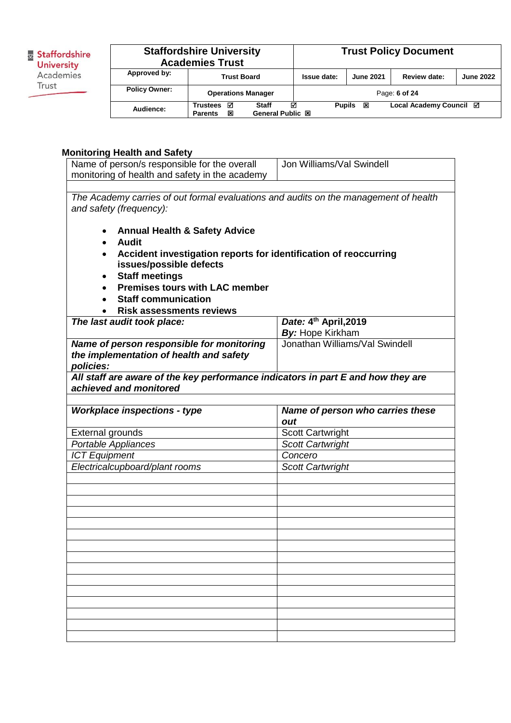**B**<br>**University**<br>**Academies** Trust

| <b>Staffordshire University</b><br><b>Academies Trust</b> | <b>Trust Policy Document</b>                                                           |                    |                  |                         |                  |
|-----------------------------------------------------------|----------------------------------------------------------------------------------------|--------------------|------------------|-------------------------|------------------|
| Approved by:                                              | <b>Trust Board</b>                                                                     | Issue date:        | <b>June 2021</b> | Review date:            | <b>June 2022</b> |
| <b>Policy Owner:</b>                                      | <b>Operations Manager</b>                                                              |                    |                  | Page: 6 of 24           |                  |
| Audience:                                                 | ☑<br><b>Staff</b><br><b>Trustees</b><br><b>General Public 図</b><br>図<br><b>Parents</b> | М<br><b>Pupils</b> | 図                | Local Academy Council Ø |                  |

## **Monitoring Health and Safety**

| Name of person/s responsible for the overall<br>monitoring of health and safety in the academy                                                                                                                                                                    | Jon Williams/Val Swindell                                                        |  |  |  |  |
|-------------------------------------------------------------------------------------------------------------------------------------------------------------------------------------------------------------------------------------------------------------------|----------------------------------------------------------------------------------|--|--|--|--|
|                                                                                                                                                                                                                                                                   |                                                                                  |  |  |  |  |
| The Academy carries of out formal evaluations and audits on the management of health<br>and safety (frequency):<br><b>Annual Health &amp; Safety Advice</b><br>٠<br><b>Audit</b><br>$\bullet$<br>Accident investigation reports for identification of reoccurring |                                                                                  |  |  |  |  |
| issues/possible defects<br><b>Staff meetings</b><br><b>Premises tours with LAC member</b><br><b>Staff communication</b><br><b>Risk assessments reviews</b>                                                                                                        |                                                                                  |  |  |  |  |
| The last audit took place:                                                                                                                                                                                                                                        | Date: 4th April, 2019                                                            |  |  |  |  |
|                                                                                                                                                                                                                                                                   | By: Hope Kirkham                                                                 |  |  |  |  |
| Name of person responsible for monitoring<br>the implementation of health and safety<br>policies:                                                                                                                                                                 | Jonathan Williams/Val Swindell                                                   |  |  |  |  |
| achieved and monitored                                                                                                                                                                                                                                            | All staff are aware of the key performance indicators in part E and how they are |  |  |  |  |
|                                                                                                                                                                                                                                                                   |                                                                                  |  |  |  |  |
| <b>Workplace inspections - type</b>                                                                                                                                                                                                                               | Name of person who carries these<br>out                                          |  |  |  |  |
|                                                                                                                                                                                                                                                                   |                                                                                  |  |  |  |  |
| <b>External grounds</b>                                                                                                                                                                                                                                           | <b>Scott Cartwright</b>                                                          |  |  |  |  |
| Portable Appliances                                                                                                                                                                                                                                               | <b>Scott Cartwright</b><br>Concero                                               |  |  |  |  |
| <b>ICT Equipment</b><br>Electricalcupboard/plant rooms                                                                                                                                                                                                            | <b>Scott Cartwright</b>                                                          |  |  |  |  |
|                                                                                                                                                                                                                                                                   |                                                                                  |  |  |  |  |
|                                                                                                                                                                                                                                                                   |                                                                                  |  |  |  |  |
|                                                                                                                                                                                                                                                                   |                                                                                  |  |  |  |  |
|                                                                                                                                                                                                                                                                   |                                                                                  |  |  |  |  |
|                                                                                                                                                                                                                                                                   |                                                                                  |  |  |  |  |
|                                                                                                                                                                                                                                                                   |                                                                                  |  |  |  |  |
|                                                                                                                                                                                                                                                                   |                                                                                  |  |  |  |  |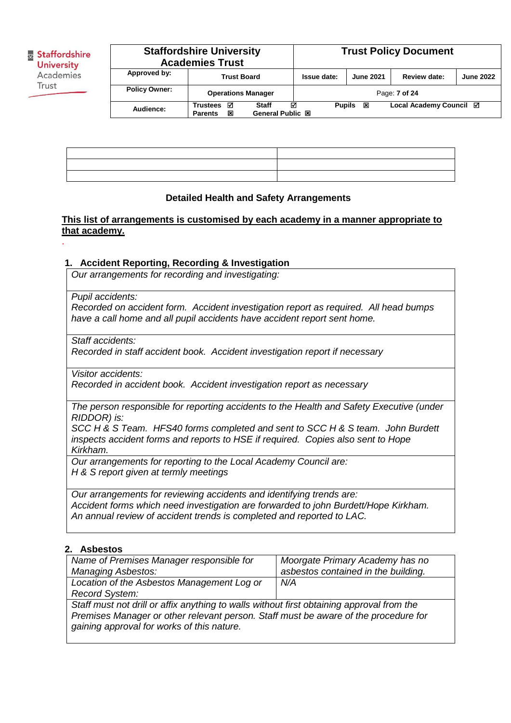.

| <b>Staffordshire University</b><br><b>Academies Trust</b> |                                             |                                              |               |                  | <b>Trust Policy Document</b> |                  |
|-----------------------------------------------------------|---------------------------------------------|----------------------------------------------|---------------|------------------|------------------------------|------------------|
| Approved by:                                              | <b>Trust Board</b>                          |                                              | Issue date:   | <b>June 2021</b> | Review date:                 | <b>June 2022</b> |
| <b>Policy Owner:</b>                                      | <b>Operations Manager</b>                   |                                              |               |                  | Page: 7 of 24                |                  |
| Audience:                                                 | ☑<br><b>Trustees</b><br>図<br><b>Parents</b> | ☑<br><b>Staff</b><br><b>General Public 図</b> | <b>Pupils</b> | 図                | Local Academy Council ⊠      |                  |

| ,一个人的人都是一个人的人,就是一个人的人,就是一个人的人,就是一个人的人,就是一个人的人,就是一个人的人,就是一个人的人,就是一个人的人,就是一个人的人,我们 |                                                                                  |
|----------------------------------------------------------------------------------|----------------------------------------------------------------------------------|
|                                                                                  |                                                                                  |
|                                                                                  | ,我们的人们就会在这里,我们的人们就会在这里,我们的人们就会在这里,我们的人们就会在这里,我们的人们就会在这里,我们的人们就会在这里,我们的人们就会在这里,我们 |

#### **Detailed Health and Safety Arrangements**

## **This list of arrangements is customised by each academy in a manner appropriate to that academy.**

#### **1. Accident Reporting, Recording & Investigation**

*Our arrangements for recording and investigating:* 

*Pupil accidents:*

*Recorded on accident form. Accident investigation report as required. All head bumps have a call home and all pupil accidents have accident report sent home.* 

*Staff accidents:*

*Recorded in staff accident book. Accident investigation report if necessary*

*Visitor accidents:*

*Recorded in accident book. Accident investigation report as necessary* 

*The person responsible for reporting accidents to the Health and Safety Executive (under RIDDOR) is:*

*SCC H & S Team. HFS40 forms completed and sent to SCC H & S team. John Burdett inspects accident forms and reports to HSE if required. Copies also sent to Hope Kirkham.* 

*Our arrangements for reporting to the Local Academy Council are: H & S report given at termly meetings*

*Our arrangements for reviewing accidents and identifying trends are: Accident forms which need investigation are forwarded to john Burdett/Hope Kirkham. An annual review of accident trends is completed and reported to LAC.*

#### **2. Asbestos**

| Name of Premises Manager responsible for<br><b>Managing Asbestos:</b>                                                                                                                                                          | Moorgate Primary Academy has no<br>asbestos contained in the building. |  |  |
|--------------------------------------------------------------------------------------------------------------------------------------------------------------------------------------------------------------------------------|------------------------------------------------------------------------|--|--|
| Location of the Asbestos Management Log or<br>Record System:                                                                                                                                                                   | N/A                                                                    |  |  |
| Staff must not drill or affix anything to walls without first obtaining approval from the<br>Premises Manager or other relevant person. Staff must be aware of the procedure for<br>gaining approval for works of this nature. |                                                                        |  |  |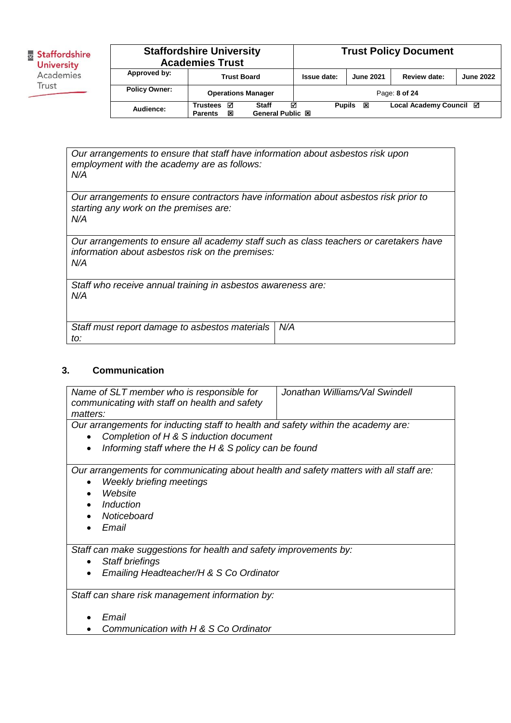| <b>Staffordshire University</b><br><b>Academies Trust</b> |                                             |                                              |               | <b>Trust Policy Document</b> |                         |                  |
|-----------------------------------------------------------|---------------------------------------------|----------------------------------------------|---------------|------------------------------|-------------------------|------------------|
| Approved by:                                              | <b>Trust Board</b>                          |                                              | Issue date:   | <b>June 2021</b>             | Review date:            | <b>June 2022</b> |
| <b>Policy Owner:</b>                                      | <b>Operations Manager</b>                   |                                              |               |                              | Page: 8 of 24           |                  |
| Audience:                                                 | ☑<br><b>Trustees</b><br>冈<br><b>Parents</b> | ☑<br><b>Staff</b><br><b>General Public 図</b> | <b>Pupils</b> | 図                            | Local Academy Council ⊠ |                  |

*Our arrangements to ensure that staff have information about asbestos risk upon employment with the academy are as follows: N/A*

*Our arrangements to ensure contractors have information about asbestos risk prior to starting any work on the premises are: N/A*

*Our arrangements to ensure all academy staff such as class teachers or caretakers have information about asbestos risk on the premises: N/A*

*Staff who receive annual training in asbestos awareness are: N/A*

| Staff must report damage to asbestos materials   N/A |  |
|------------------------------------------------------|--|
| to:                                                  |  |

## **3. Communication**

| Name of SLT member who is responsible for<br>communicating with staff on health and safety<br>matters:                                                                    | Jonathan Williams/Val Swindell |  |  |  |
|---------------------------------------------------------------------------------------------------------------------------------------------------------------------------|--------------------------------|--|--|--|
| Our arrangements for inducting staff to health and safety within the academy are:                                                                                         |                                |  |  |  |
| Completion of H & S induction document                                                                                                                                    |                                |  |  |  |
| Informing staff where the H & S policy can be found                                                                                                                       |                                |  |  |  |
| Our arrangements for communicating about health and safety matters with all staff are:<br><b>Weekly briefing meetings</b><br>Website<br>Induction<br>Noticeboard<br>Email |                                |  |  |  |
| Staff can make suggestions for health and safety improvements by:                                                                                                         |                                |  |  |  |
| <b>Staff briefings</b><br>$\bullet$                                                                                                                                       |                                |  |  |  |
| Emailing Headteacher/H & S Co Ordinator                                                                                                                                   |                                |  |  |  |
| Staff can share risk management information by:                                                                                                                           |                                |  |  |  |
| Email                                                                                                                                                                     |                                |  |  |  |
| Communication with H & S Co Ordinator                                                                                                                                     |                                |  |  |  |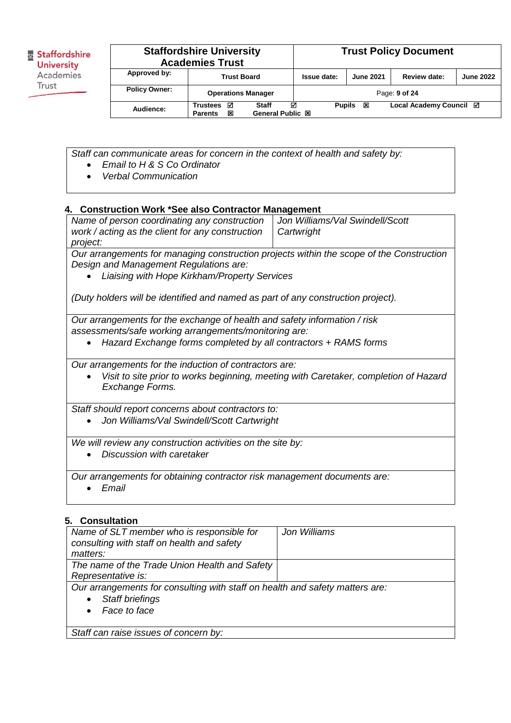| <b>Staffordshire University</b><br><b>Academies Trust</b> |                                                                                             |  |               | <b>Trust Policy Document</b> |                         |                  |
|-----------------------------------------------------------|---------------------------------------------------------------------------------------------|--|---------------|------------------------------|-------------------------|------------------|
| Approved by:                                              | <b>Trust Board</b>                                                                          |  | Issue date:   | <b>June 2021</b>             | Review date:            | <b>June 2022</b> |
| <b>Policy Owner:</b>                                      | <b>Operations Manager</b>                                                                   |  |               |                              | Page: 9 of 24           |                  |
| Audience:                                                 | ☑<br>☑<br><b>Staff</b><br><b>Trustees</b><br><b>General Public 図</b><br>図<br><b>Parents</b> |  | <b>Pupils</b> | 図                            | Local Academy Council ⊠ |                  |

*Staff can communicate areas for concern in the context of health and safety by:*

- *Email to H & S Co Ordinator*
- *Verbal Communication*

## **4. Construction Work \*See also Contractor Management**

| Name of person coordinating any construction                                            | Jon Williams/Val Swindell/Scott |  |  |
|-----------------------------------------------------------------------------------------|---------------------------------|--|--|
| work / acting as the client for any construction                                        | l Cartwright                    |  |  |
| project:                                                                                |                                 |  |  |
| Our erronoments for menoging construction projects within the coope of the Construction |                                 |  |  |

*Our arrangements for managing construction projects within the scope of the Construction Design and Management Regulations are:* 

*Liaising with Hope Kirkham/Property Services*

*(Duty holders will be identified and named as part of any construction project).* 

*Our arrangements for the exchange of health and safety information / risk assessments/safe working arrangements/monitoring are:* 

*Hazard Exchange forms completed by all contractors + RAMS forms*

*Our arrangements for the induction of contractors are:*

 *Visit to site prior to works beginning, meeting with Caretaker, completion of Hazard Exchange Forms.*

*Staff should report concerns about contractors to:*

*Jon Williams/Val Swindell/Scott Cartwright*

*We will review any construction activities on the site by:*

*Discussion with caretaker*

*Our arrangements for obtaining contractor risk management documents are:*

*Email*

## **5. Consultation**

| Name of SLT member who is responsible for<br>consulting with staff on health and safety | Jon Williams |  |
|-----------------------------------------------------------------------------------------|--------------|--|
| matters:                                                                                |              |  |
| The name of the Trade Union Health and Safety                                           |              |  |
| Representative is:                                                                      |              |  |
| Our arrangements for consulting with staff on health and safety matters are:            |              |  |
| <b>Staff briefings</b>                                                                  |              |  |
| Face to face                                                                            |              |  |
|                                                                                         |              |  |
| Staff can raise issues of concern by:                                                   |              |  |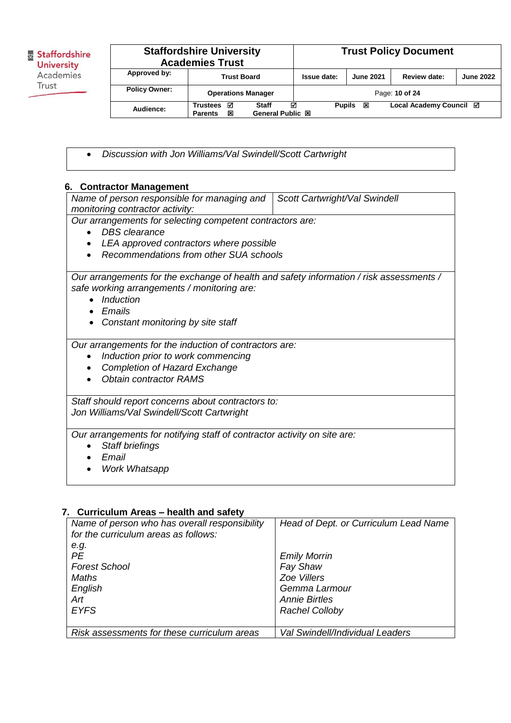| <b>Staffordshire University</b><br><b>Academies Trust</b> |                                             |                                              |               | <b>Trust Policy Document</b> |                         |                  |
|-----------------------------------------------------------|---------------------------------------------|----------------------------------------------|---------------|------------------------------|-------------------------|------------------|
| Approved by:                                              | <b>Trust Board</b>                          |                                              | Issue date:   | <b>June 2021</b>             | Review date:            | <b>June 2022</b> |
| <b>Policy Owner:</b>                                      | <b>Operations Manager</b>                   |                                              |               |                              | Page: 10 of 24          |                  |
| Audience:                                                 | ☑<br><b>Trustees</b><br>図<br><b>Parents</b> | ☑<br><b>Staff</b><br><b>General Public 図</b> | <b>Pupils</b> | 図                            | Local Academy Council ⊠ |                  |

*Discussion with Jon Williams/Val Swindell/Scott Cartwright*

## **6. Contractor Management**

| Name of person responsible for managing and                                                                                            | Scott Cartwright/Val Swindell |  |  |  |
|----------------------------------------------------------------------------------------------------------------------------------------|-------------------------------|--|--|--|
| monitoring contractor activity:                                                                                                        |                               |  |  |  |
| Our arrangements for selecting competent contractors are:                                                                              |                               |  |  |  |
| <b>DBS</b> clearance<br>$\bullet$                                                                                                      |                               |  |  |  |
| LEA approved contractors where possible                                                                                                |                               |  |  |  |
| Recommendations from other SUA schools                                                                                                 |                               |  |  |  |
|                                                                                                                                        |                               |  |  |  |
| Our arrangements for the exchange of health and safety information / risk assessments /<br>safe working arrangements / monitoring are: |                               |  |  |  |
| Induction                                                                                                                              |                               |  |  |  |
| Emails                                                                                                                                 |                               |  |  |  |
| Constant monitoring by site staff                                                                                                      |                               |  |  |  |
|                                                                                                                                        |                               |  |  |  |
| Our arrangements for the induction of contractors are:                                                                                 |                               |  |  |  |
| Induction prior to work commencing                                                                                                     |                               |  |  |  |
| <b>Completion of Hazard Exchange</b>                                                                                                   |                               |  |  |  |
| <b>Obtain contractor RAMS</b>                                                                                                          |                               |  |  |  |
|                                                                                                                                        |                               |  |  |  |
| Staff should report concerns about contractors to:                                                                                     |                               |  |  |  |
| Jon Williams/Val Swindell/Scott Cartwright                                                                                             |                               |  |  |  |
| Our arrangements for notifying staff of contractor activity on site are:                                                               |                               |  |  |  |
| Staff briefings                                                                                                                        |                               |  |  |  |
| Fmail                                                                                                                                  |                               |  |  |  |
| <b>Work Whatsapp</b>                                                                                                                   |                               |  |  |  |
|                                                                                                                                        |                               |  |  |  |

## **7. Curriculum Areas – health and safety**

| Name of person who has overall responsibility<br>for the curriculum areas as follows: | Head of Dept. or Curriculum Lead Name |
|---------------------------------------------------------------------------------------|---------------------------------------|
| e.g.                                                                                  |                                       |
| <b>PE</b>                                                                             | <b>Emily Morrin</b>                   |
| <b>Forest School</b>                                                                  | Fay Shaw                              |
| Maths                                                                                 | Zoe Villers                           |
| English                                                                               | Gemma Larmour                         |
| Art                                                                                   | <b>Annie Birtles</b>                  |
| <b>EYFS</b>                                                                           | <b>Rachel Colloby</b>                 |
|                                                                                       |                                       |
| Risk assessments for these curriculum areas                                           | Val Swindell/Individual Leaders       |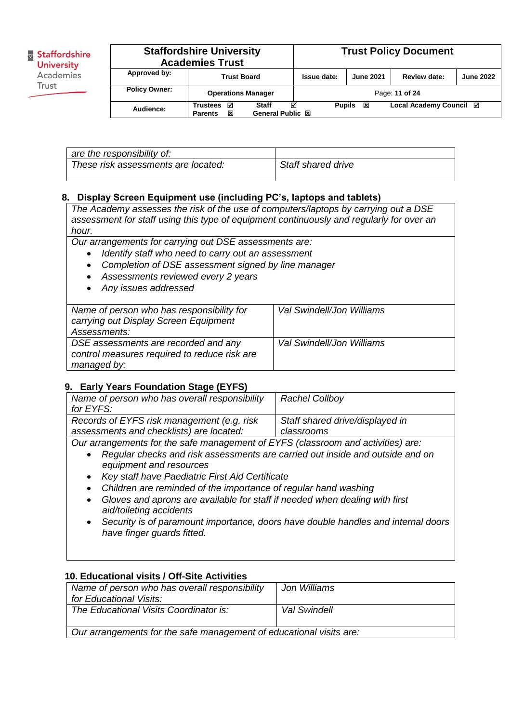| <b>Staffordshire University</b><br><b>Academies Trust</b> |                                      |                                       |               | <b>Trust Policy Document</b> |                         |                  |
|-----------------------------------------------------------|--------------------------------------|---------------------------------------|---------------|------------------------------|-------------------------|------------------|
| Approved by:                                              | <b>Trust Board</b>                   |                                       | Issue date:   | <b>June 2021</b>             | Review date:            | <b>June 2022</b> |
| <b>Policy Owner:</b>                                      | <b>Operations Manager</b>            |                                       |               |                              | Page: 11 of 24          |                  |
| Audience:                                                 | Trustees<br>☑<br>図<br><b>Parents</b> | ☑<br>Staff<br><b>General Public 図</b> | <b>Pupils</b> | ×                            | Local Academy Council ⊠ |                  |

| are the responsibility of:          |                    |
|-------------------------------------|--------------------|
| These risk assessments are located: | Staff shared drive |

## **8. Display Screen Equipment use (including PC's, laptops and tablets)**

*The Academy assesses the risk of the use of computers/laptops by carrying out a DSE assessment for staff using this type of equipment continuously and regularly for over an hour.* 

*Our arrangements for carrying out DSE assessments are:*

- *Identify staff who need to carry out an assessment*
- *Completion of DSE assessment signed by line manager*
- *Assessments reviewed every 2 years*
- *Any issues addressed*

| Name of person who has responsibility for    | Val Swindell/Jon Williams |
|----------------------------------------------|---------------------------|
| carrying out Display Screen Equipment        |                           |
|                                              |                           |
| Assessments:                                 |                           |
| DSE assessments are recorded and any         | Val Swindell/Jon Williams |
| control measures required to reduce risk are |                           |
|                                              |                           |
| managed by:                                  |                           |

## **9. Early Years Foundation Stage (EYFS)**

| Name of person who has overall responsibility | <b>Rachel Collboy</b>                          |
|-----------------------------------------------|------------------------------------------------|
| for EYFS:                                     |                                                |
| Records of EYFS risk management (e.g. risk    | Staff shared drive/displayed in                |
| assessments and checklists) are located:      | classrooms                                     |
|                                               | $\epsilon$ $\sim$ $\epsilon$ $\sim$ $\epsilon$ |

*Our arrangements for the safe management of EYFS (classroom and activities) are:*

- *Regular checks and risk assessments are carried out inside and outside and on equipment and resources*
- *Key staff have Paediatric First Aid Certificate*
- *Children are reminded of the importance of regular hand washing*
- *Gloves and aprons are available for staff if needed when dealing with first aid/toileting accidents*
- *Security is of paramount importance, doors have double handles and internal doors have finger guards fitted.*

## **10. Educational visits / Off-Site Activities**

| Name of person who has overall responsibility                       | Jon Williams |  |  |
|---------------------------------------------------------------------|--------------|--|--|
| for Educational Visits:                                             |              |  |  |
| The Educational Visits Coordinator is:                              | Val Swindell |  |  |
|                                                                     |              |  |  |
| Our arrangements for the safe management of educational visits are: |              |  |  |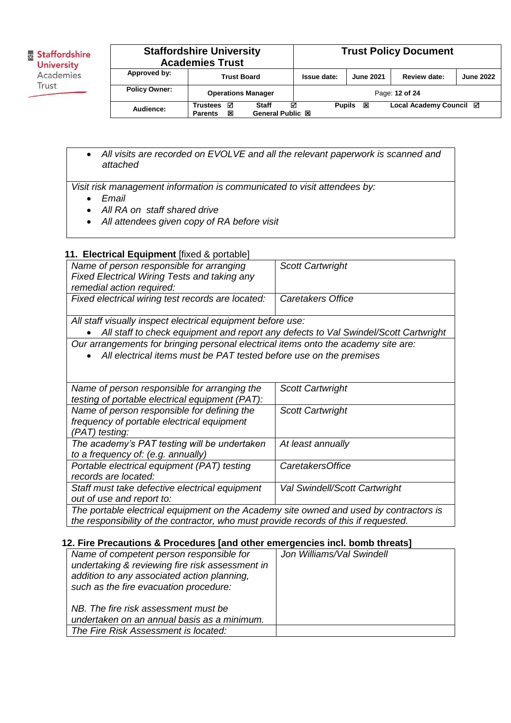|                      | <b>Staffordshire University</b><br><b>Academies Trust</b> |                                                |               |                  | <b>Trust Policy Document</b> |                  |
|----------------------|-----------------------------------------------------------|------------------------------------------------|---------------|------------------|------------------------------|------------------|
| Approved by:         | <b>Trust Board</b>                                        |                                                | Issue date:   | <b>June 2021</b> | Review date:                 | <b>June 2022</b> |
| <b>Policy Owner:</b> | <b>Operations Manager</b>                                 |                                                |               |                  | Page: 12 of 24               |                  |
| Audience:            | ☑<br><b>Trustees</b><br>⊠<br><b>Parents</b>               | ज्ञ<br><b>Staff</b><br><b>General Public 図</b> | <b>Pupils</b> | ⊠                | Local Academy Council ⊠      |                  |

 *All visits are recorded on EVOLVE and all the relevant paperwork is scanned and attached*

*Visit risk management information is communicated to visit attendees by:*

- *Email*
- *All RA on staff shared drive*
- *All attendees given copy of RA before visit*

## **11. Electrical Equipment** [fixed & portable]

| Name of person responsible for arranging                                           | <b>Scott Cartwright</b>                                                             |
|------------------------------------------------------------------------------------|-------------------------------------------------------------------------------------|
| <b>Fixed Electrical Wiring Tests and taking any</b>                                |                                                                                     |
| remedial action required:                                                          |                                                                                     |
| Fixed electrical wiring test records are located:                                  | Caretakers Office                                                                   |
|                                                                                    |                                                                                     |
| All staff visually inspect electrical equipment before use:                        |                                                                                     |
|                                                                                    | All staff to check equipment and report any defects to Val Swindel/Scott Cartwright |
| Our arrangements for bringing personal electrical items onto the academy site are: |                                                                                     |
| All electrical items must be PAT tested before use on the premises                 |                                                                                     |
|                                                                                    |                                                                                     |
|                                                                                    |                                                                                     |
| Name of person responsible for arranging the                                       | <b>Scott Cartwright</b>                                                             |
| testing of portable electrical equipment (PAT):                                    |                                                                                     |
| Name of person responsible for defining the                                        | <b>Scott Cartwright</b>                                                             |
| frequency of portable electrical equipment                                         |                                                                                     |
| (PAT) testing:                                                                     |                                                                                     |
| The academy's PAT testing will be undertaken                                       | At least annually                                                                   |
| to a frequency of: (e.g. annually)                                                 |                                                                                     |
| Portable electrical equipment (PAT) testing                                        | <b>CaretakersOffice</b>                                                             |
| records are located:                                                               |                                                                                     |
| Staff must take defective electrical equipment                                     | <b>Val Swindell/Scott Cartwright</b>                                                |
| out of use and report to:                                                          |                                                                                     |

*The portable electrical equipment on the Academy site owned and used by contractors is the responsibility of the contractor, who must provide records of this if requested.*

#### **12. Fire Precautions & Procedures [and other emergencies incl. bomb threats]**

| Name of competent person responsible for<br>undertaking & reviewing fire risk assessment in<br>addition to any associated action planning,<br>such as the fire evacuation procedure: | Jon Williams/Val Swindell |  |
|--------------------------------------------------------------------------------------------------------------------------------------------------------------------------------------|---------------------------|--|
| NB. The fire risk assessment must be<br>undertaken on an annual basis as a minimum.                                                                                                  |                           |  |
| The Fire Risk Assessment is located:                                                                                                                                                 |                           |  |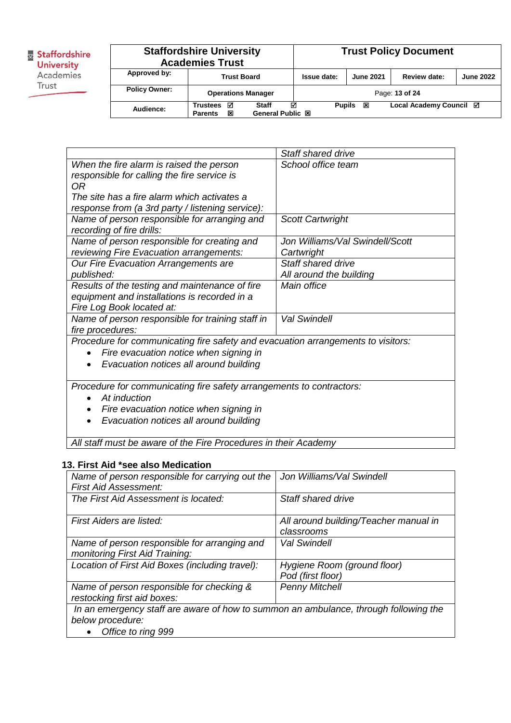|                      | <b>Staffordshire University</b><br><b>Academies Trust</b> |                                       |               |                  | <b>Trust Policy Document</b> |                  |
|----------------------|-----------------------------------------------------------|---------------------------------------|---------------|------------------|------------------------------|------------------|
| Approved by:         | <b>Trust Board</b>                                        |                                       | Issue date:   | <b>June 2021</b> | Review date:                 | <b>June 2022</b> |
| <b>Policy Owner:</b> | <b>Operations Manager</b>                                 |                                       |               |                  | Page: 13 of 24               |                  |
| Audience:            | ☑<br><b>Trustees</b><br>図<br><b>Parents</b>               | ☑<br>Staff<br><b>General Public 図</b> | <b>Pupils</b> | 図                | Local Academy Council ⊠      |                  |

|                                                                                  | Staff shared drive              |
|----------------------------------------------------------------------------------|---------------------------------|
| When the fire alarm is raised the person                                         | School office team              |
| responsible for calling the fire service is                                      |                                 |
| 0R                                                                               |                                 |
| The site has a fire alarm which activates a                                      |                                 |
| response from (a 3rd party / listening service):                                 |                                 |
| Name of person responsible for arranging and                                     | <b>Scott Cartwright</b>         |
| recording of fire drills:                                                        |                                 |
| Name of person responsible for creating and                                      | Jon Williams/Val Swindell/Scott |
| reviewing Fire Evacuation arrangements:                                          | Cartwright                      |
| Our Fire Evacuation Arrangements are                                             | <b>Staff shared drive</b>       |
| published:                                                                       | All around the building         |
| Results of the testing and maintenance of fire                                   | Main office                     |
| equipment and installations is recorded in a                                     |                                 |
| Fire Log Book located at:                                                        |                                 |
| Name of person responsible for training staff in                                 | <b>Val Swindell</b>             |
| fire procedures:                                                                 |                                 |
| Procedure for communicating fire safety and evacuation arrangements to visitors: |                                 |
| Fire evacuation notice when signing in<br>$\bullet$                              |                                 |
| Evacuation notices all around building<br>٠                                      |                                 |
|                                                                                  |                                 |
| Procedure for communicating fire safety arrangements to contractors:             |                                 |
| At induction                                                                     |                                 |
| Fire evacuation notice when signing in                                           |                                 |
| Euskardism maticas all suscured building                                         |                                 |

*Evacuation notices all around building*

*All staff must be aware of the Fire Procedures in their Academy*

#### **13. First Aid \*see also Medication**

| Name of person responsible for carrying out the                                      | Jon Williams/Val Swindell             |
|--------------------------------------------------------------------------------------|---------------------------------------|
| <b>First Aid Assessment:</b>                                                         |                                       |
| The First Aid Assessment is located:                                                 | Staff shared drive                    |
|                                                                                      |                                       |
| First Aiders are listed:                                                             | All around building/Teacher manual in |
|                                                                                      | classrooms                            |
| Name of person responsible for arranging and                                         | <b>Val Swindell</b>                   |
| monitoring First Aid Training:                                                       |                                       |
| Location of First Aid Boxes (including travel):                                      | Hygiene Room (ground floor)           |
|                                                                                      | Pod (first floor)                     |
| Name of person responsible for checking &                                            | <b>Penny Mitchell</b>                 |
| restocking first aid boxes:                                                          |                                       |
| In an emergency staff are aware of how to summon an ambulance, through following the |                                       |
| below procedure:                                                                     |                                       |
| Office to ring 999                                                                   |                                       |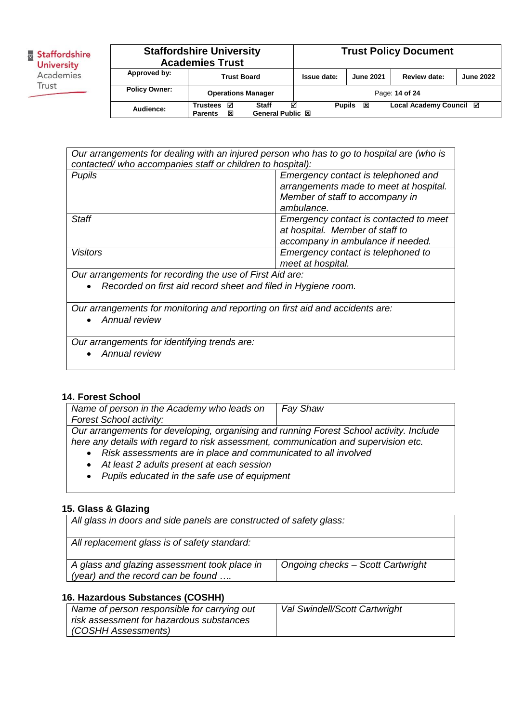|                      | <b>Staffordshire University</b><br><b>Academies Trust</b> |                                                |               |                  | <b>Trust Policy Document</b> |                  |
|----------------------|-----------------------------------------------------------|------------------------------------------------|---------------|------------------|------------------------------|------------------|
| Approved by:         | <b>Trust Board</b>                                        |                                                | Issue date:   | <b>June 2021</b> | Review date:                 | <b>June 2022</b> |
| <b>Policy Owner:</b> | <b>Operations Manager</b>                                 |                                                |               |                  | Page: 14 of 24               |                  |
| Audience:            | ☑<br><b>Trustees</b><br>冈<br><b>Parents</b>               | ज्ञ<br><b>Staff</b><br><b>General Public 図</b> | <b>Pupils</b> | ⊠                | Local Academy Council ⊠      |                  |

| Our arrangements for dealing with an injured person who has to go to hospital are (who is<br>contacted/who accompanies staff or children to hospital): |                                                                               |  |  |
|--------------------------------------------------------------------------------------------------------------------------------------------------------|-------------------------------------------------------------------------------|--|--|
| <b>Pupils</b>                                                                                                                                          | Emergency contact is telephoned and<br>arrangements made to meet at hospital. |  |  |
|                                                                                                                                                        | Member of staff to accompany in                                               |  |  |
|                                                                                                                                                        | ambulance.                                                                    |  |  |
| Staff                                                                                                                                                  | Emergency contact is contacted to meet                                        |  |  |
|                                                                                                                                                        | at hospital. Member of staff to                                               |  |  |
|                                                                                                                                                        | accompany in ambulance if needed.                                             |  |  |
| <b>Visitors</b>                                                                                                                                        | Emergency contact is telephoned to                                            |  |  |
|                                                                                                                                                        | meet at hospital.                                                             |  |  |
| Our arrangements for recording the use of First Aid are:                                                                                               |                                                                               |  |  |
| Recorded on first aid record sheet and filed in Hygiene room.<br>$\bullet$                                                                             |                                                                               |  |  |
| Our arrangements for monitoring and reporting on first aid and accidents are:                                                                          |                                                                               |  |  |

*Annual review*

*Our arrangements for identifying trends are:*

*Annual review*

## **14. Forest School**

| Name of person in the Academy who leads on                                              | <b>Fay Shaw</b> |  |
|-----------------------------------------------------------------------------------------|-----------------|--|
| <b>Forest School activity:</b>                                                          |                 |  |
| Our arrangements for developing, organising and running Forest School activity. Include |                 |  |
| here any details with regard to risk assessment, communication and supervision etc.     |                 |  |
| Risk assessments are in place and communicated to all involved                          |                 |  |

- *At least 2 adults present at each session*
- *Pupils educated in the safe use of equipment*

## **15. Glass & Glazing**

*All glass in doors and side panels are constructed of safety glass:*

| All replacement glass is of safety standard: |                                   |
|----------------------------------------------|-----------------------------------|
|                                              |                                   |
|                                              |                                   |
| A glass and glazing assessment took place in | Ongoing checks - Scott Cartwright |
| (year) and the record can be found $\dots$   |                                   |
|                                              |                                   |

## **16. Hazardous Substances (COSHH)**

| Name of person responsible for carrying out | Val Swindell/Scott Cartwright |
|---------------------------------------------|-------------------------------|
| risk assessment for hazardous substances    |                               |
| (COSHH Assessments)                         |                               |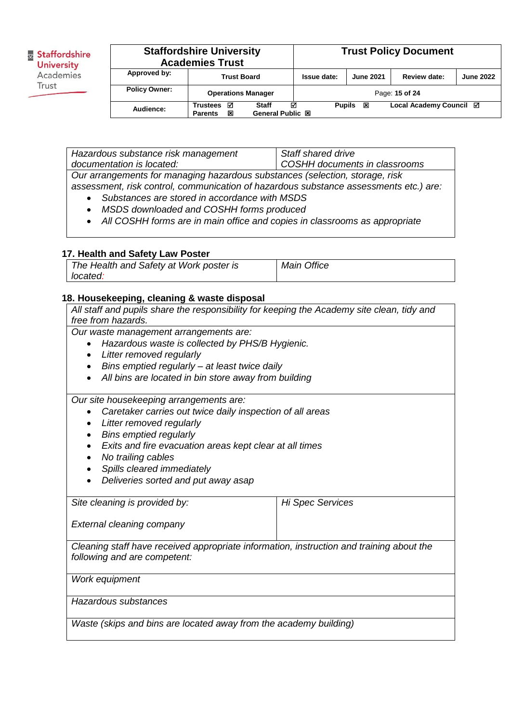|                      | <b>Staffordshire University</b><br><b>Academies Trust</b> |                                              |               |                  | <b>Trust Policy Document</b> |                  |
|----------------------|-----------------------------------------------------------|----------------------------------------------|---------------|------------------|------------------------------|------------------|
| Approved by:         | <b>Trust Board</b>                                        |                                              | Issue date:   | <b>June 2021</b> | Review date:                 | <b>June 2022</b> |
| <b>Policy Owner:</b> | <b>Operations Manager</b>                                 |                                              |               |                  | Page: 15 of 24               |                  |
| Audience:            | ☑<br><b>Trustees</b><br>図<br><b>Parents</b>               | ⊽<br><b>Staff</b><br><b>General Public 図</b> | <b>Pupils</b> | 図                | Local Academy Council ⊠      |                  |

*Hazardous substance risk management documentation is located: Staff shared drive COSHH documents in classrooms Our arrangements for managing hazardous substances (selection, storage, risk assessment, risk control, communication of hazardous substance assessments etc.) are:*

- *Substances are stored in accordance with MSDS*
- *MSDS downloaded and COSHH forms produced*
- *All COSHH forms are in main office and copies in classrooms as appropriate*

#### **17. Health and Safety Law Poster**

| The Health and Safety at Work poster is | Main Office |
|-----------------------------------------|-------------|
| located:                                |             |

#### **18. Housekeeping, cleaning & waste disposal**

| All staff and pupils share the responsibility for keeping the Academy site clean, tidy and |                         |
|--------------------------------------------------------------------------------------------|-------------------------|
| free from hazards.                                                                         |                         |
| Our waste management arrangements are:                                                     |                         |
| Hazardous waste is collected by PHS/B Hygienic.                                            |                         |
| Litter removed regularly                                                                   |                         |
| Bins emptied regularly - at least twice daily                                              |                         |
| All bins are located in bin store away from building                                       |                         |
| Our site housekeeping arrangements are:                                                    |                         |
| Caretaker carries out twice daily inspection of all areas                                  |                         |
| Litter removed regularly                                                                   |                         |
| <b>Bins emptied regularly</b>                                                              |                         |
| Exits and fire evacuation areas kept clear at all times                                    |                         |
| No trailing cables                                                                         |                         |
| Spills cleared immediately                                                                 |                         |
| Deliveries sorted and put away asap                                                        |                         |
|                                                                                            |                         |
| Site cleaning is provided by:                                                              | <b>Hi Spec Services</b> |
| External cleaning company                                                                  |                         |
| Cleaning staff have received appropriate information, instruction and training about the   |                         |
| following and are competent:                                                               |                         |
|                                                                                            |                         |
| Work equipment                                                                             |                         |
| Hazardous substances                                                                       |                         |
| Waste (skips and bins are located away from the academy building)                          |                         |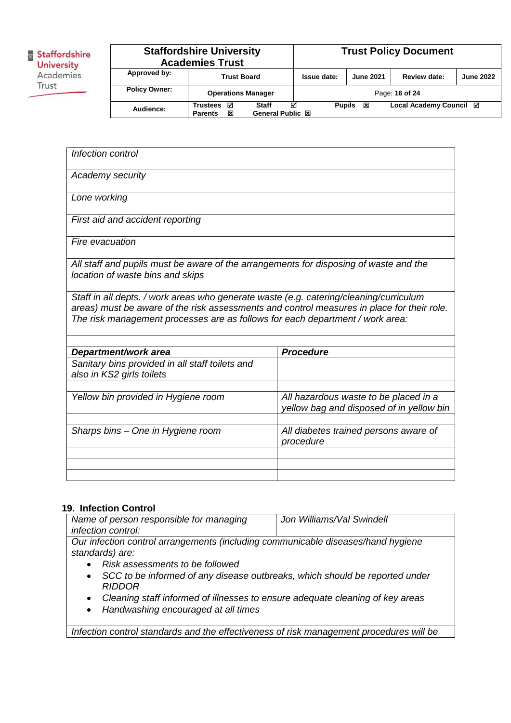|                      | <b>Staffordshire University</b><br><b>Academies Trust</b> |                                       |               |                  | <b>Trust Policy Document</b> |                  |
|----------------------|-----------------------------------------------------------|---------------------------------------|---------------|------------------|------------------------------|------------------|
| Approved by:         | <b>Trust Board</b>                                        |                                       | Issue date:   | <b>June 2021</b> | Review date:                 | <b>June 2022</b> |
| <b>Policy Owner:</b> | <b>Operations Manager</b>                                 |                                       |               |                  | Page: 16 of 24               |                  |
| Audience:            | ☑<br><b>Trustees</b><br>図<br><b>Parents</b>               | ☑<br>Staff<br><b>General Public 図</b> | <b>Pupils</b> | ⊠                | Local Academy Council ⊠      |                  |

| Infection control                                                                                                                                                                                                                                                     |                                                                                   |
|-----------------------------------------------------------------------------------------------------------------------------------------------------------------------------------------------------------------------------------------------------------------------|-----------------------------------------------------------------------------------|
| Academy security                                                                                                                                                                                                                                                      |                                                                                   |
| Lone working                                                                                                                                                                                                                                                          |                                                                                   |
| First aid and accident reporting                                                                                                                                                                                                                                      |                                                                                   |
| <b>Fire evacuation</b>                                                                                                                                                                                                                                                |                                                                                   |
| All staff and pupils must be aware of the arrangements for disposing of waste and the<br>location of waste bins and skips                                                                                                                                             |                                                                                   |
| Staff in all depts. / work areas who generate waste (e.g. catering/cleaning/curriculum<br>areas) must be aware of the risk assessments and control measures in place for their role.<br>The risk management processes are as follows for each department / work area: |                                                                                   |
|                                                                                                                                                                                                                                                                       | <b>Procedure</b>                                                                  |
| Department/work area                                                                                                                                                                                                                                                  |                                                                                   |
| Sanitary bins provided in all staff toilets and<br>also in KS2 girls toilets                                                                                                                                                                                          |                                                                                   |
|                                                                                                                                                                                                                                                                       |                                                                                   |
| Yellow bin provided in Hygiene room                                                                                                                                                                                                                                   | All hazardous waste to be placed in a<br>yellow bag and disposed of in yellow bin |
|                                                                                                                                                                                                                                                                       |                                                                                   |
| Sharps bins - One in Hygiene room                                                                                                                                                                                                                                     | All diabetes trained persons aware of<br>procedure                                |
|                                                                                                                                                                                                                                                                       |                                                                                   |
|                                                                                                                                                                                                                                                                       |                                                                                   |
|                                                                                                                                                                                                                                                                       |                                                                                   |

## **19. Infection Control**

| יט וויוסט ווטווסטאוויוס                                                          |                           |
|----------------------------------------------------------------------------------|---------------------------|
| Name of person responsible for managing                                          | Jon Williams/Val Swindell |
| <i>infection control:</i>                                                        |                           |
| Our infection control arrangements (including communicable diseases/hand hygiene |                           |
| standards) are:                                                                  |                           |

- *Risk assessments to be followed*
- *SCC to be informed of any disease outbreaks, which should be reported under RIDDOR*
- *Cleaning staff informed of illnesses to ensure adequate cleaning of key areas*
- *Handwashing encouraged at all times*

*Infection control standards and the effectiveness of risk management procedures will be*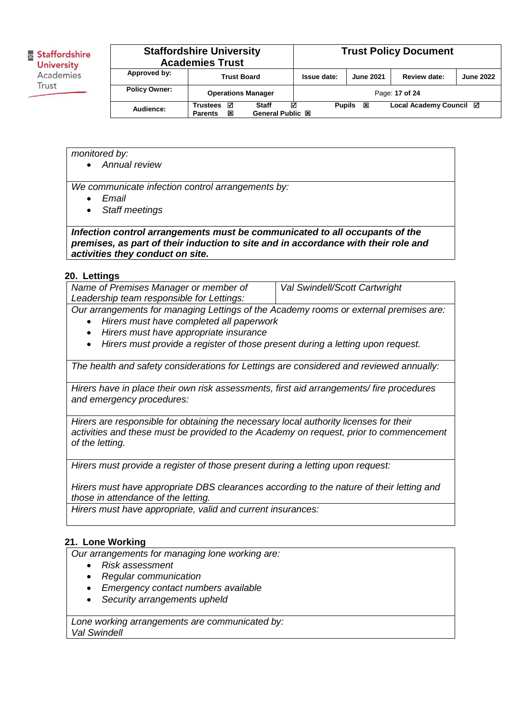|                      | <b>Staffordshire University</b><br><b>Academies Trust</b>                       |             |                    | <b>Trust Policy Document</b> |                  |
|----------------------|---------------------------------------------------------------------------------|-------------|--------------------|------------------------------|------------------|
| Approved by:         | <b>Trust Board</b>                                                              | Issue date: | <b>June 2021</b>   | Review date:                 | <b>June 2022</b> |
| <b>Policy Owner:</b> | <b>Operations Manager</b>                                                       |             |                    | Page: 17 of 24               |                  |
| Audience:            | ☑<br><b>Staff</b><br><b>Trustees</b><br>General Public 図<br>⊠<br><b>Parents</b> | ☑           | <b>Pupils</b><br>図 | Local Academy Council ⊠      |                  |

*monitored by:*

*Annual review*

*We communicate infection control arrangements by:*

- *Email*
- *Staff meetings*

*Infection control arrangements must be communicated to all occupants of the premises, as part of their induction to site and in accordance with their role and activities they conduct on site.* 

#### **20. Lettings**

| Name of Premises Manager or member of                                                 | <b>Val Swindell/Scott Cartwright</b> |
|---------------------------------------------------------------------------------------|--------------------------------------|
| Leadership team responsible for Lettings:                                             |                                      |
| Our arrangements for managing Lettings of the Academy rooms or external premises are: |                                      |

- *Hirers must have completed all paperwork*
- *Hirers must have appropriate insurance*
- *Hirers must provide a register of those present during a letting upon request.*

*The health and safety considerations for Lettings are considered and reviewed annually:*

*Hirers have in place their own risk assessments, first aid arrangements/ fire procedures and emergency procedures:*

*Hirers are responsible for obtaining the necessary local authority licenses for their activities and these must be provided to the Academy on request, prior to commencement of the letting.*

*Hirers must provide a register of those present during a letting upon request:*

*Hirers must have appropriate DBS clearances according to the nature of their letting and those in attendance of the letting.*

*Hirers must have appropriate, valid and current insurances:*

#### **21. Lone Working**

*Our arrangements for managing lone working are:*

- *Risk assessment*
- *Regular communication*
- *Emergency contact numbers available*
- *Security arrangements upheld*

*Lone working arrangements are communicated by: Val Swindell*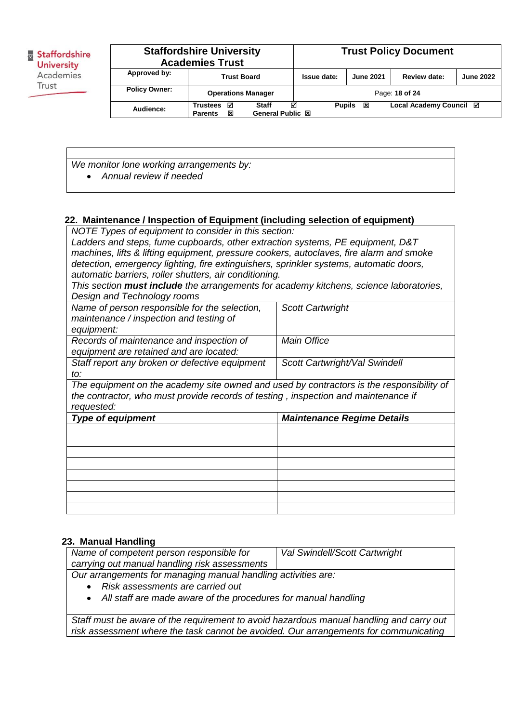|                      | <b>Staffordshire University</b><br><b>Academies Trust</b> |                                              |               |                  | <b>Trust Policy Document</b> |                  |
|----------------------|-----------------------------------------------------------|----------------------------------------------|---------------|------------------|------------------------------|------------------|
| Approved by:         | <b>Trust Board</b>                                        |                                              | Issue date:   | <b>June 2021</b> | Review date:                 | <b>June 2022</b> |
| <b>Policy Owner:</b> | <b>Operations Manager</b>                                 |                                              |               |                  | Page: 18 of 24               |                  |
| Audience:            | ☑<br><b>Trustees</b><br>⊠<br><b>Parents</b>               | ☑<br><b>Staff</b><br><b>General Public 図</b> | <b>Pupils</b> | 図                | Local Academy Council ⊠      |                  |

*We monitor lone working arrangements by: Annual review if needed*

#### **22. Maintenance / Inspection of Equipment (including selection of equipment)**

*NOTE Types of equipment to consider in this section:*

*Ladders and steps, fume cupboards, other extraction systems, PE equipment, D&T machines, lifts & lifting equipment, pressure cookers, autoclaves, fire alarm and smoke detection, emergency lighting, fire extinguishers, sprinkler systems, automatic doors, automatic barriers, roller shutters, air conditioning.*

*This section must include the arrangements for academy kitchens, science laboratories, Design and Technology rooms*

| Name of person responsible for the selection,<br>maintenance / inspection and testing of | <b>Scott Cartwright</b>           |
|------------------------------------------------------------------------------------------|-----------------------------------|
| equipment:                                                                               |                                   |
| Records of maintenance and inspection of                                                 | Main Office                       |
| equipment are retained and are located:                                                  |                                   |
| Staff report any broken or defective equipment                                           | Scott Cartwright/Val Swindell     |
| to:                                                                                      |                                   |
| The equipment on the academy site owned and used by contractors is the responsibility of |                                   |
| the contractor, who must provide records of testing, inspection and maintenance if       |                                   |
|                                                                                          |                                   |
| requested:                                                                               |                                   |
| <b>Type of equipment</b>                                                                 | <b>Maintenance Regime Details</b> |
|                                                                                          |                                   |
|                                                                                          |                                   |
|                                                                                          |                                   |
|                                                                                          |                                   |
|                                                                                          |                                   |
|                                                                                          |                                   |
|                                                                                          |                                   |

#### **23. Manual Handling**

| Name of competent person responsible for                         | Val Swindell/Scott Cartwright |  |  |
|------------------------------------------------------------------|-------------------------------|--|--|
| carrying out manual handling risk assessments                    |                               |  |  |
| Our arrangements for managing manual handling activities are:    |                               |  |  |
| • Risk assessments are carried out                               |                               |  |  |
| • All staff are made aware of the procedures for manual handling |                               |  |  |

*Staff must be aware of the requirement to avoid hazardous manual handling and carry out risk assessment where the task cannot be avoided. Our arrangements for communicating*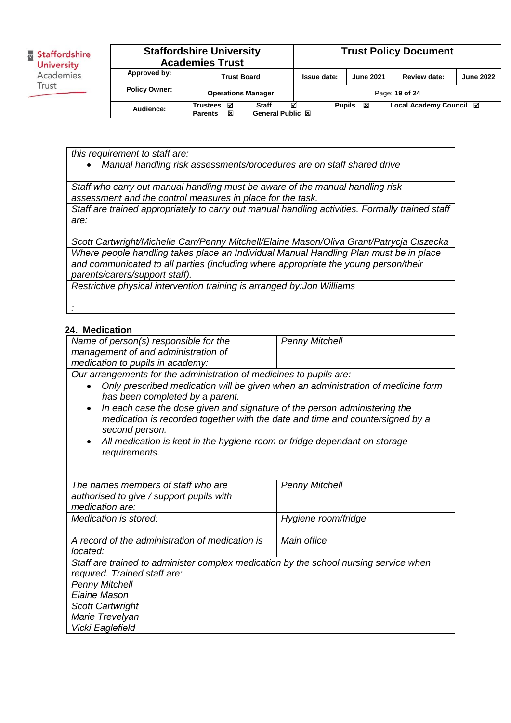| <b>Staffordshire University</b><br><b>Academies Trust</b> |                                             | <b>Trust Policy Document</b>          |               |                  |                         |                  |
|-----------------------------------------------------------|---------------------------------------------|---------------------------------------|---------------|------------------|-------------------------|------------------|
| Approved by:                                              | <b>Trust Board</b>                          |                                       | Issue date:   | <b>June 2021</b> | Review date:            | <b>June 2022</b> |
| <b>Policy Owner:</b>                                      | <b>Operations Manager</b>                   |                                       |               |                  | Page: 19 of 24          |                  |
| Audience:                                                 | ☑<br><b>Trustees</b><br>図<br><b>Parents</b> | ☑<br><b>Staff</b><br>General Public 図 | <b>Pupils</b> | ⊠                | Local Academy Council ⊠ |                  |

*this requirement to staff are:*

*Manual handling risk assessments/procedures are on staff shared drive*

*Staff who carry out manual handling must be aware of the manual handling risk assessment and the control measures in place for the task.*

*Staff are trained appropriately to carry out manual handling activities. Formally trained staff are:*

*Scott Cartwright/Michelle Carr/Penny Mitchell/Elaine Mason/Oliva Grant/Patrycja Ciszecka Where people handling takes place an Individual Manual Handling Plan must be in place and communicated to all parties (including where appropriate the young person/their parents/carers/support staff).* 

*Restrictive physical intervention training is arranged by:Jon Williams*

## **24. Medication**

*:*

| Name of person(s) responsible for the                                                                                                                                                     | <b>Penny Mitchell</b> |  |  |  |
|-------------------------------------------------------------------------------------------------------------------------------------------------------------------------------------------|-----------------------|--|--|--|
| management of and administration of                                                                                                                                                       |                       |  |  |  |
| medication to pupils in academy:                                                                                                                                                          |                       |  |  |  |
| Our arrangements for the administration of medicines to pupils are:                                                                                                                       |                       |  |  |  |
| Only prescribed medication will be given when an administration of medicine form<br>has been completed by a parent.                                                                       |                       |  |  |  |
| In each case the dose given and signature of the person administering the<br>$\bullet$<br>medication is recorded together with the date and time and countersigned by a<br>second person. |                       |  |  |  |
| All medication is kept in the hygiene room or fridge dependant on storage<br>requirements.                                                                                                |                       |  |  |  |
| The names members of staff who are                                                                                                                                                        | <b>Penny Mitchell</b> |  |  |  |
| authorised to give / support pupils with                                                                                                                                                  |                       |  |  |  |
| medication are:                                                                                                                                                                           |                       |  |  |  |
| Medication is stored:                                                                                                                                                                     | Hygiene room/fridge   |  |  |  |
| A record of the administration of medication is<br>located:                                                                                                                               | Main office           |  |  |  |
| Staff are trained to administer complex medication by the school nursing service when                                                                                                     |                       |  |  |  |
| required. Trained staff are:                                                                                                                                                              |                       |  |  |  |
| <b>Penny Mitchell</b>                                                                                                                                                                     |                       |  |  |  |
| Elaine Mason                                                                                                                                                                              |                       |  |  |  |
| Scott Cartwright                                                                                                                                                                          |                       |  |  |  |
| Marie Trevelyan                                                                                                                                                                           |                       |  |  |  |
| Vicki Eaglefield                                                                                                                                                                          |                       |  |  |  |
|                                                                                                                                                                                           |                       |  |  |  |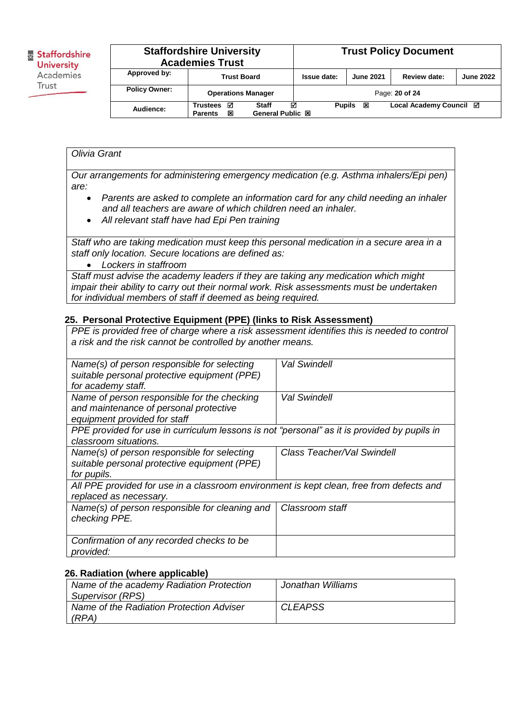|                      | <b>Staffordshire University</b><br><b>Academies Trust</b> |                                              |               |                  | <b>Trust Policy Document</b> |                  |
|----------------------|-----------------------------------------------------------|----------------------------------------------|---------------|------------------|------------------------------|------------------|
| Approved by:         | <b>Trust Board</b>                                        |                                              | Issue date:   | <b>June 2021</b> | Review date:                 | <b>June 2022</b> |
| <b>Policy Owner:</b> | <b>Operations Manager</b>                                 |                                              |               |                  | Page: 20 of 24               |                  |
| Audience:            | ☑<br>Trustees<br>図<br><b>Parents</b>                      | ⊠<br><b>Staff</b><br><b>General Public 図</b> | <b>Pupils</b> | 図                | Local Academy Council Ø      |                  |

## *Olivia Grant*

*Our arrangements for administering emergency medication (e.g. Asthma inhalers/Epi pen) are:*

- *Parents are asked to complete an information card for any child needing an inhaler and all teachers are aware of which children need an inhaler.*
- *All relevant staff have had Epi Pen training*

*Staff who are taking medication must keep this personal medication in a secure area in a staff only location. Secure locations are defined as:*

*Lockers in staffroom*

*Staff must advise the academy leaders if they are taking any medication which might impair their ability to carry out their normal work. Risk assessments must be undertaken for individual members of staff if deemed as being required.*

## **25. Personal Protective Equipment (PPE) (links to Risk Assessment)**

| PPE is provided free of charge where a risk assessment identifies this is needed to control<br>a risk and the risk cannot be controlled by another means. |                            |  |  |  |
|-----------------------------------------------------------------------------------------------------------------------------------------------------------|----------------------------|--|--|--|
| Name(s) of person responsible for selecting<br>suitable personal protective equipment (PPE)<br>for academy staff.                                         | Val Swindell               |  |  |  |
| Name of person responsible for the checking<br>and maintenance of personal protective<br>equipment provided for staff                                     | Val Swindell               |  |  |  |
| PPE provided for use in curriculum lessons is not "personal" as it is provided by pupils in<br>classroom situations.                                      |                            |  |  |  |
| Name(s) of person responsible for selecting<br>suitable personal protective equipment (PPE)<br>for pupils.                                                | Class Teacher/Val Swindell |  |  |  |
| All PPE provided for use in a classroom environment is kept clean, free from defects and<br>replaced as necessary.                                        |                            |  |  |  |
| Name(s) of person responsible for cleaning and<br>checking PPE.                                                                                           | Classroom staff            |  |  |  |
| Confirmation of any recorded checks to be<br>provided:                                                                                                    |                            |  |  |  |

## **26. Radiation (where applicable)**

| Name of the academy Radiation Protection | Jonathan Williams |
|------------------------------------------|-------------------|
| Supervisor (RPS)                         |                   |
| Name of the Radiation Protection Adviser | <b>CLEAPSS</b>    |
| (RPA)                                    |                   |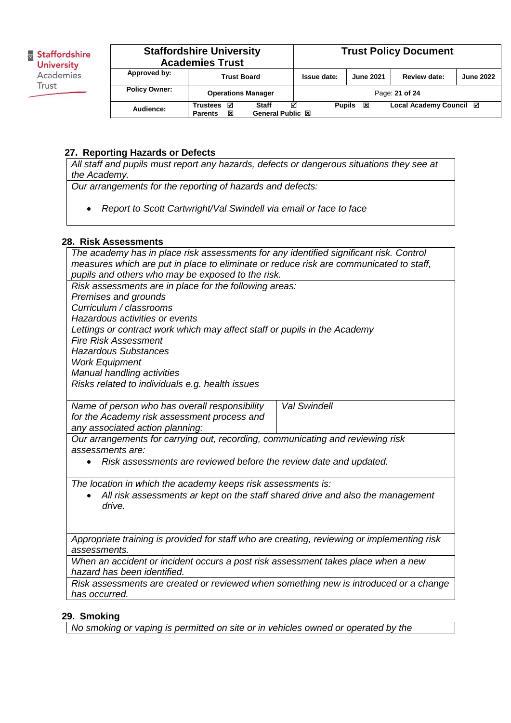|                      | <b>Staffordshire University</b><br><b>Academies Trust</b> |                                       | <b>Trust Policy Document</b> |                  |                         |                  |
|----------------------|-----------------------------------------------------------|---------------------------------------|------------------------------|------------------|-------------------------|------------------|
| Approved by:         | <b>Trust Board</b>                                        |                                       | Issue date:                  | <b>June 2021</b> | Review date:            | <b>June 2022</b> |
| <b>Policy Owner:</b> | <b>Operations Manager</b>                                 |                                       |                              |                  | Page: 21 of 24          |                  |
| Audience:            | М<br><b>Trustees</b><br>図<br><b>Parents</b>               | ☑<br>Staff<br><b>General Public 図</b> | <b>Pupils</b>                | 図                | Local Academy Council ⊠ |                  |

## **27. Reporting Hazards or Defects**

*All staff and pupils must report any hazards, defects or dangerous situations they see at the Academy.* 

*Our arrangements for the reporting of hazards and defects:*

*Report to Scott Cartwright/Val Swindell via email or face to face*

## **28. Risk Assessments**

| The academy has in place risk assessments for any identified significant risk. Control |                     |  |  |
|----------------------------------------------------------------------------------------|---------------------|--|--|
| measures which are put in place to eliminate or reduce risk are communicated to staff, |                     |  |  |
| pupils and others who may be exposed to the risk.                                      |                     |  |  |
| Risk assessments are in place for the following areas:                                 |                     |  |  |
| Premises and grounds                                                                   |                     |  |  |
| Curriculum / classrooms                                                                |                     |  |  |
| Hazardous activities or events                                                         |                     |  |  |
| Lettings or contract work which may affect staff or pupils in the Academy              |                     |  |  |
| <b>Fire Risk Assessment</b>                                                            |                     |  |  |
| <b>Hazardous Substances</b>                                                            |                     |  |  |
| <b>Work Equipment</b>                                                                  |                     |  |  |
| <b>Manual handling activities</b>                                                      |                     |  |  |
| Risks related to individuals e.g. health issues                                        |                     |  |  |
|                                                                                        |                     |  |  |
| Name of person who has overall responsibility                                          | <b>Val Swindell</b> |  |  |
| for the Academy risk assessment process and                                            |                     |  |  |
| any associated action planning:                                                        |                     |  |  |
| Our arrangements for carrying out, recording, communicating and reviewing risk         |                     |  |  |
| assessments are:                                                                       |                     |  |  |
| Risk assessments are reviewed before the review date and updated.                      |                     |  |  |
|                                                                                        |                     |  |  |
| The location in which the academy keeps risk assessments is:                           |                     |  |  |
| All risk assessments ar kept on the staff shared drive and also the management         |                     |  |  |
| drive.                                                                                 |                     |  |  |
|                                                                                        |                     |  |  |
|                                                                                        |                     |  |  |

*Appropriate training is provided for staff who are creating, reviewing or implementing risk assessments.* 

*When an accident or incident occurs a post risk assessment takes place when a new hazard has been identified.* 

*Risk assessments are created or reviewed when something new is introduced or a change has occurred.* 

## **29. Smoking**

*No smoking or vaping is permitted on site or in vehicles owned or operated by the*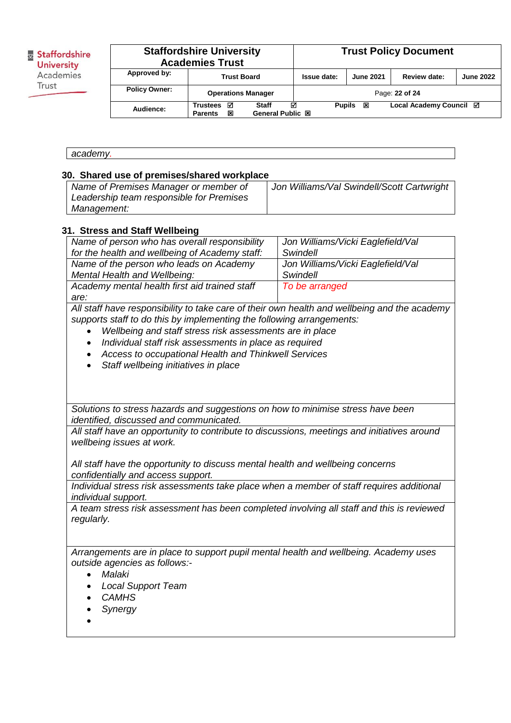| Staffordshire     |
|-------------------|
| <b>University</b> |
| Academies         |
| Trust             |
|                   |

#### **Staffordshire University Academies Trust**<br>Approved by:  $\frac{1}{2}$ **Trust Policy Document Approved by: Trust Board Issue date: June 2021 Review date: June 2022 Policy Owner: Operations Manager Page: 22 of 24 Audience: Trustees Staff Pupils Local Academy Council General Public 図**

## **30. Shared use of premises/shared workplace**

| Name of Premises Manager or member of    | Jon Williams/Val Swindell/Scott Cartwright |
|------------------------------------------|--------------------------------------------|
| Leadership team responsible for Premises |                                            |
| <i>Management:</i>                       |                                            |

#### **31. Stress and Staff Wellbeing**

| Name of person who has overall responsibility  | Jon Williams/Vicki Eaglefield/Val |
|------------------------------------------------|-----------------------------------|
| for the health and wellbeing of Academy staff: | Swindell                          |
| Name of the person who leads on Academy        | Jon Williams/Vicki Eaglefield/Val |
| Mental Health and Wellbeing:                   | Swindell                          |
| Academy mental health first aid trained staff  | To be arranged                    |
| are:                                           |                                   |

*All staff have responsibility to take care of their own health and wellbeing and the academy supports staff to do this by implementing the following arrangements:*

- *Wellbeing and staff stress risk assessments are in place*
- *Individual staff risk assessments in place as required*
- *Access to occupational Health and Thinkwell Services*
- *Staff wellbeing initiatives in place*

*Solutions to stress hazards and suggestions on how to minimise stress have been identified, discussed and communicated.* 

*All staff have an opportunity to contribute to discussions, meetings and initiatives around wellbeing issues at work.* 

*All staff have the opportunity to discuss mental health and wellbeing concerns confidentially and access support.*

*Individual stress risk assessments take place when a member of staff requires additional individual support.* 

*A team stress risk assessment has been completed involving all staff and this is reviewed regularly.*

*Arrangements are in place to support pupil mental health and wellbeing. Academy uses outside agencies as follows:-*

- *Malaki*
- *Local Support Team*
- *CAMHS*
- *Synergy*
- $\bullet$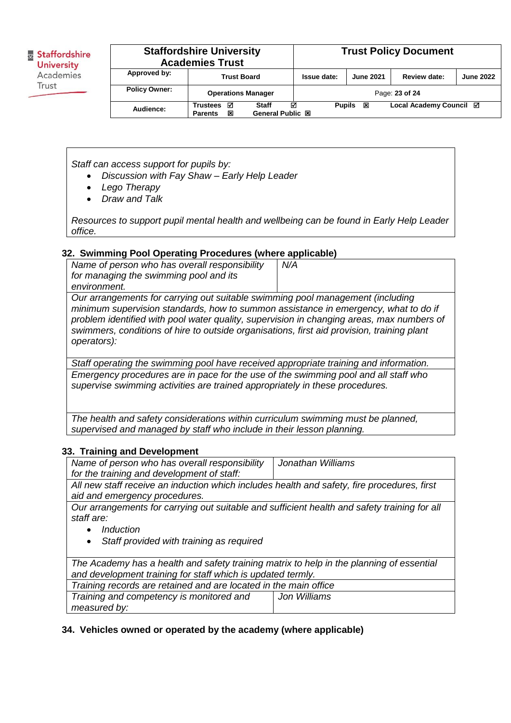| <b>Staffordshire University</b><br><b>Academies Trust</b> |                                                                               | <b>Trust Policy Document</b> |               |                  |                         |                  |
|-----------------------------------------------------------|-------------------------------------------------------------------------------|------------------------------|---------------|------------------|-------------------------|------------------|
| Approved by:                                              | <b>Trust Board</b>                                                            |                              | Issue date:   | <b>June 2021</b> | Review date:            | <b>June 2022</b> |
| <b>Policy Owner:</b>                                      | <b>Operations Manager</b>                                                     |                              |               |                  | Page: 23 of 24          |                  |
| Audience:                                                 | ☑<br>М<br>Trustees<br>Staff<br><b>General Public 図</b><br>図<br><b>Parents</b> |                              | <b>Pupils</b> | 図                | Local Academy Council ⊠ |                  |

*Staff can access support for pupils by:*

- *Discussion with Fay Shaw – Early Help Leader*
- *Lego Therapy*
- *Draw and Talk*

*Resources to support pupil mental health and wellbeing can be found in Early Help Leader office.*

#### **32. Swimming Pool Operating Procedures (where applicable)**

*Name of person who has overall responsibility for managing the swimming pool and its environment. N/A Our arrangements for carrying out suitable swimming pool management (including minimum supervision standards, how to summon assistance in emergency, what to do if problem identified with pool water quality, supervision in changing areas, max numbers of swimmers, conditions of hire to outside organisations, first aid provision, training plant operators):* 

*Staff operating the swimming pool have received appropriate training and information. Emergency procedures are in pace for the use of the swimming pool and all staff who supervise swimming activities are trained appropriately in these procedures.* 

*The health and safety considerations within curriculum swimming must be planned, supervised and managed by staff who include in their lesson planning.*

#### **33. Training and Development**

| Name of person who has overall responsibility                                                | Jonathan Williams |  |  |  |  |
|----------------------------------------------------------------------------------------------|-------------------|--|--|--|--|
| for the training and development of staff:                                                   |                   |  |  |  |  |
| All new staff receive an induction which includes health and safety, fire procedures, first  |                   |  |  |  |  |
| aid and emergency procedures.                                                                |                   |  |  |  |  |
| Our arrangements for carrying out suitable and sufficient health and safety training for all |                   |  |  |  |  |
| staff are:                                                                                   |                   |  |  |  |  |
| Induction                                                                                    |                   |  |  |  |  |
| Staff provided with training as required<br>$\bullet$                                        |                   |  |  |  |  |
|                                                                                              |                   |  |  |  |  |
| The Academy has a health and safety training matrix to help in the planning of essential     |                   |  |  |  |  |
| and development training for staff which is updated termly.                                  |                   |  |  |  |  |
| Training records are retained and are located in the main office                             |                   |  |  |  |  |
| Training and competency is monitored and<br>Jon Williams                                     |                   |  |  |  |  |
| measured by:                                                                                 |                   |  |  |  |  |

## **34. Vehicles owned or operated by the academy (where applicable)**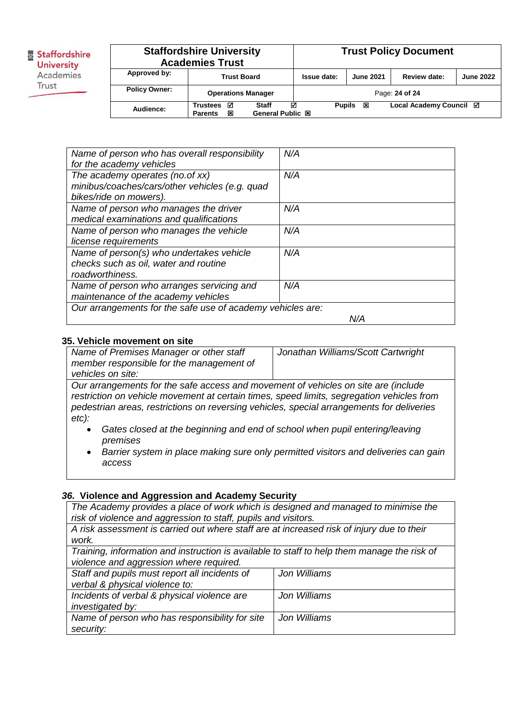| <b>Staffordshire University</b><br><b>Academies Trust</b> |                                             | <b>Trust Policy Document</b>          |               |                  |                         |                  |
|-----------------------------------------------------------|---------------------------------------------|---------------------------------------|---------------|------------------|-------------------------|------------------|
| Approved by:                                              | <b>Trust Board</b>                          |                                       | Issue date:   | <b>June 2021</b> | Review date:            | <b>June 2022</b> |
| <b>Policy Owner:</b>                                      | <b>Operations Manager</b>                   |                                       |               |                  | Page: 24 of 24          |                  |
| Audience:                                                 | ☑<br><b>Trustees</b><br>図<br><b>Parents</b> | ☑<br>Staff<br><b>General Public 図</b> | <b>Pupils</b> | 図                | Local Academy Council ⊠ |                  |

| Name of person who has overall responsibility              | N/A |
|------------------------------------------------------------|-----|
| for the academy vehicles                                   |     |
| The academy operates (no. of xx)                           | N/A |
| minibus/coaches/cars/other vehicles (e.g. quad             |     |
| bikes/ride on mowers).                                     |     |
| Name of person who manages the driver                      | N/A |
| medical examinations and qualifications                    |     |
| Name of person who manages the vehicle                     | N/A |
| license requirements                                       |     |
| Name of person(s) who undertakes vehicle                   | N/A |
| checks such as oil, water and routine                      |     |
| roadworthiness.                                            |     |
| Name of person who arranges servicing and                  | N/A |
| maintenance of the academy vehicles                        |     |
| Our arrangements for the safe use of academy vehicles are: |     |
|                                                            | N/A |

#### **35. Vehicle movement on site**

| Name of Premises Manager or other staff                                            | Jonathan Williams/Scott Cartwright |  |
|------------------------------------------------------------------------------------|------------------------------------|--|
| member responsible for the management of                                           |                                    |  |
| vehicles on site:                                                                  |                                    |  |
| Our arrangements for the safe access and movement of vehicles on site are (include |                                    |  |

*restriction on vehicle movement at certain times, speed limits, segregation vehicles from pedestrian areas, restrictions on reversing vehicles, special arrangements for deliveries etc):* 

- *Gates closed at the beginning and end of school when pupil entering/leaving premises*
- *Barrier system in place making sure only permitted visitors and deliveries can gain access*

#### *36.* **Violence and Aggression and Academy Security**

*The Academy provides a place of work which is designed and managed to minimise the risk of violence and aggression to staff, pupils and visitors. A risk assessment is carried out where staff are at increased risk of injury due to their work. Training, information and instruction is available to staff to help them manage the risk of violence and aggression where required. Staff and pupils must report all incidents of verbal & physical violence to: Jon Williams Incidents of verbal & physical violence are investigated by: Jon Williams Name of person who has responsibility for site security: Jon Williams*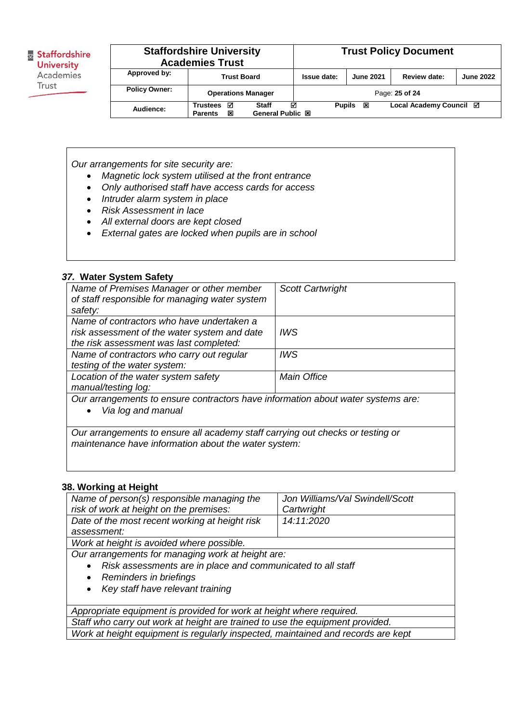| <b>Staffordshire University</b><br><b>Academies Trust</b> |                                             |                                              |               | <b>Trust Policy Document</b> |                         |                  |
|-----------------------------------------------------------|---------------------------------------------|----------------------------------------------|---------------|------------------------------|-------------------------|------------------|
| Approved by:                                              | <b>Trust Board</b>                          |                                              | Issue date:   | <b>June 2021</b>             | Review date:            | <b>June 2022</b> |
| <b>Policy Owner:</b>                                      | <b>Operations Manager</b>                   |                                              |               |                              | Page: 25 of 24          |                  |
| Audience:                                                 | ⊠<br><b>Trustees</b><br>図<br><b>Parents</b> | ☑<br><b>Staff</b><br><b>General Public 図</b> | <b>Pupils</b> | ⊠                            | Local Academy Council Ø |                  |

*Our arrangements for site security are:*

- *Magnetic lock system utilised at the front entrance*
- *Only authorised staff have access cards for access*
- *Intruder alarm system in place*
- *Risk Assessment in lace*
- *All external doors are kept closed*
- *External gates are locked when pupils are in school*

#### *37.* **Water System Safety**

| Name of Premises Manager or other member<br>of staff responsible for managing water system | <b>Scott Cartwright</b> |  |  |
|--------------------------------------------------------------------------------------------|-------------------------|--|--|
| safety:                                                                                    |                         |  |  |
| Name of contractors who have undertaken a                                                  |                         |  |  |
| risk assessment of the water system and date                                               | <b>IWS</b>              |  |  |
| the risk assessment was last completed:                                                    |                         |  |  |
| Name of contractors who carry out regular                                                  | <b>IWS</b>              |  |  |
| testing of the water system:                                                               |                         |  |  |
| Location of the water system safety                                                        | <b>Main Office</b>      |  |  |
| manual/testing log:                                                                        |                         |  |  |
| Our arrangements to ensure contractors have information about water systems are:           |                         |  |  |
| Via log and manual                                                                         |                         |  |  |
|                                                                                            |                         |  |  |

*Our arrangements to ensure all academy staff carrying out checks or testing or maintenance have information about the water system:*

## **38. Working at Height**

| Name of person(s) responsible managing the<br>risk of work at height on the premises: | Jon Williams/Val Swindell/Scott<br>Cartwright |  |  |  |
|---------------------------------------------------------------------------------------|-----------------------------------------------|--|--|--|
| Date of the most recent working at height risk                                        | 14:11:2020                                    |  |  |  |
| assessment:                                                                           |                                               |  |  |  |
| Work at height is avoided where possible.                                             |                                               |  |  |  |
| Our arrangements for managing work at height are:                                     |                                               |  |  |  |
| Risk assessments are in place and communicated to all staff                           |                                               |  |  |  |
| Reminders in briefings                                                                |                                               |  |  |  |
| Key staff have relevant training<br>$\bullet$                                         |                                               |  |  |  |
|                                                                                       |                                               |  |  |  |
| Appropriate equipment is provided for work at height where required.                  |                                               |  |  |  |
| Staff who carry out work at height are trained to use the equipment provided.         |                                               |  |  |  |
| Work at height equipment is regularly inspected, maintained and records are kept      |                                               |  |  |  |
|                                                                                       |                                               |  |  |  |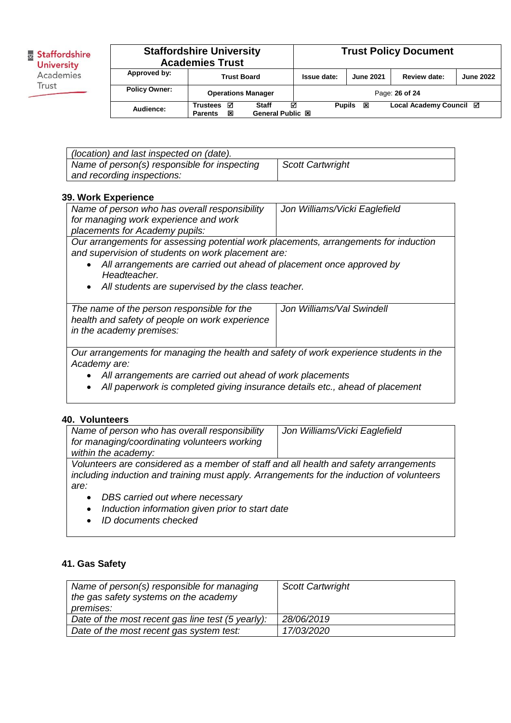| <b>Staffordshire University</b><br><b>Academies Trust</b> |                                      |                                       |               | <b>Trust Policy Document</b> |                         |                  |
|-----------------------------------------------------------|--------------------------------------|---------------------------------------|---------------|------------------------------|-------------------------|------------------|
| Approved by:                                              | <b>Trust Board</b>                   |                                       | Issue date:   | <b>June 2021</b>             | Review date:            | <b>June 2022</b> |
| <b>Policy Owner:</b>                                      | <b>Operations Manager</b>            |                                       |               |                              | Page: 26 of 24          |                  |
| Audience:                                                 | ☑<br>Trustees<br>図<br><b>Parents</b> | ☑<br><b>Staff</b><br>General Public 図 | <b>Pupils</b> | 図                            | Local Academy Council ⊠ |                  |

| (location) and last inspected on (date).     |                         |
|----------------------------------------------|-------------------------|
| Name of person(s) responsible for inspecting | <b>Scott Cartwright</b> |
| and recording inspections:                   |                         |

## **39. Work Experience**

*in the academy premises:* 

| Name of person who has overall responsibility<br>for managing work experience and work<br>placements for Academy pupils:                                                                                                                                                                                          | Jon Williams/Vicki Eaglefield |
|-------------------------------------------------------------------------------------------------------------------------------------------------------------------------------------------------------------------------------------------------------------------------------------------------------------------|-------------------------------|
| Our arrangements for assessing potential work placements, arrangements for induction<br>and supervision of students on work placement are:<br>All arrangements are carried out ahead of placement once approved by<br>$\bullet$<br>Headteacher.<br>All students are supervised by the class teacher.<br>$\bullet$ |                               |
| The name of the person responsible for the<br>health and safety of people on work experience                                                                                                                                                                                                                      | Jon Williams/Val Swindell     |

*Our arrangements for managing the health and safety of work experience students in the Academy are:*

- *All arrangements are carried out ahead of work placements*
- *All paperwork is completed giving insurance details etc., ahead of placement*

## **40. Volunteers**

| Name of person who has overall responsibility                                             | Jon Williams/Vicki Eaglefield |  |  |  |
|-------------------------------------------------------------------------------------------|-------------------------------|--|--|--|
| for managing/coordinating volunteers working                                              |                               |  |  |  |
| within the academy:                                                                       |                               |  |  |  |
| Volunteers are considered as a member of staff and all health and safety arrangements     |                               |  |  |  |
| including induction and training must apply. Arrangements for the induction of volunteers |                               |  |  |  |
| are:                                                                                      |                               |  |  |  |
| DBS carried out where necessary<br>$\bullet$                                              |                               |  |  |  |
| Induction information given prior to start date<br>$\bullet$                              |                               |  |  |  |

*ID documents checked*

## **41. Gas Safety**

| Name of person(s) responsible for managing<br>the gas safety systems on the academy<br>premises: | <b>Scott Cartwright</b> |
|--------------------------------------------------------------------------------------------------|-------------------------|
| Date of the most recent gas line test (5 yearly):                                                | 28/06/2019              |
| Date of the most recent gas system test:                                                         | 17/03/2020              |